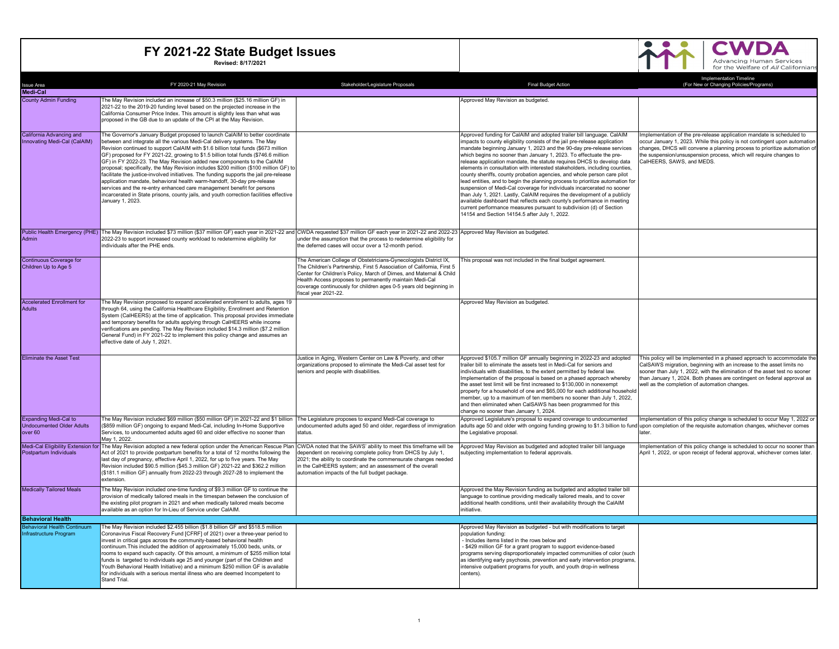

| <b>Issue Area</b>                                            | FY 2020-21 May Revision                                                                                                                                                                                                                                                                                                                                                                                                                                                                                                                                                                                                                                                                                                                                                                                                                                              | Stakeholder/Legislature Proposals                                                                                                                                                                                                                                                                                                                                         | <b>Final Budget Action</b>                                                                                                                                                                                                                                                                                                                                                                                                                                                                                                                                                                                                                                                                                                                                                                                                                                                                                                                                                      | <b>Implementation Timeline</b><br>(For New or Changing Policies/Programs)                                                                                                                                                                                                                                                                                 |
|--------------------------------------------------------------|----------------------------------------------------------------------------------------------------------------------------------------------------------------------------------------------------------------------------------------------------------------------------------------------------------------------------------------------------------------------------------------------------------------------------------------------------------------------------------------------------------------------------------------------------------------------------------------------------------------------------------------------------------------------------------------------------------------------------------------------------------------------------------------------------------------------------------------------------------------------|---------------------------------------------------------------------------------------------------------------------------------------------------------------------------------------------------------------------------------------------------------------------------------------------------------------------------------------------------------------------------|---------------------------------------------------------------------------------------------------------------------------------------------------------------------------------------------------------------------------------------------------------------------------------------------------------------------------------------------------------------------------------------------------------------------------------------------------------------------------------------------------------------------------------------------------------------------------------------------------------------------------------------------------------------------------------------------------------------------------------------------------------------------------------------------------------------------------------------------------------------------------------------------------------------------------------------------------------------------------------|-----------------------------------------------------------------------------------------------------------------------------------------------------------------------------------------------------------------------------------------------------------------------------------------------------------------------------------------------------------|
| <b>Medi-Cal</b>                                              |                                                                                                                                                                                                                                                                                                                                                                                                                                                                                                                                                                                                                                                                                                                                                                                                                                                                      |                                                                                                                                                                                                                                                                                                                                                                           |                                                                                                                                                                                                                                                                                                                                                                                                                                                                                                                                                                                                                                                                                                                                                                                                                                                                                                                                                                                 |                                                                                                                                                                                                                                                                                                                                                           |
| <b>County Admin Funding</b>                                  | The May Revision included an increase of \$50.3 million (\$25.16 million GF) in                                                                                                                                                                                                                                                                                                                                                                                                                                                                                                                                                                                                                                                                                                                                                                                      |                                                                                                                                                                                                                                                                                                                                                                           | Approved May Revision as budgeted.                                                                                                                                                                                                                                                                                                                                                                                                                                                                                                                                                                                                                                                                                                                                                                                                                                                                                                                                              |                                                                                                                                                                                                                                                                                                                                                           |
|                                                              | 2021-22 to the 2019-20 funding level based on the projected increase in the<br>California Consumer Price Index. This amount is slightly less than what was<br>proposed in the GB due to an update of the CPI at the May Revision.                                                                                                                                                                                                                                                                                                                                                                                                                                                                                                                                                                                                                                    |                                                                                                                                                                                                                                                                                                                                                                           |                                                                                                                                                                                                                                                                                                                                                                                                                                                                                                                                                                                                                                                                                                                                                                                                                                                                                                                                                                                 |                                                                                                                                                                                                                                                                                                                                                           |
| California Advancing and<br>Innovating Medi-Cal (CalAIM)     | The Governor's January Budget proposed to launch CalAIM to better coordinate<br>between and integrate all the various Medi-Cal delivery systems. The May<br>Revision continued to support CalAIM with \$1.6 billion total funds (\$673 million<br>GF) proposed for FY 2021-22, growing to \$1.5 billion total funds (\$746.6 million<br>GF) in FY 2022-23. The May Revision added new components to the CalAIM<br>proposal; specifically, the May Revision includes \$200 million (\$100 million GF) to<br>facilitate the justice-involved initiatives. The funding supports the jail pre-release<br>application mandate, behavioral health warm-handoff, 30-day pre-release<br>services and the re-entry enhanced care management benefit for persons<br>incarcerated in State prisons, county jails, and youth correction facilities effective<br>January 1, 2023. |                                                                                                                                                                                                                                                                                                                                                                           | Approved funding for CalAIM and adopted trailer bill language. CalAIM<br>impacts to county eligibility consists of the jail pre-release application<br>mandate beginning January 1, 2023 and the 90-day pre-release services<br>which begins no sooner than January 1, 2023. To effectuate the pre-<br>release application mandate, the statute requires DHCS to develop data<br>elements in consultation with interested stakeholders, including counties,<br>county sheriffs, county probation agencies, and whole person care pilot<br>lead entities, and to begin the planning process to prioritize automation for<br>suspension of Medi-Cal coverage for individuals incarcerated no sooner<br>than July 1, 2021. Lastly, CalAIM requires the development of a publicly<br>available dashboard that reflects each county's performance in meeting<br>current performance measures pursuant to subdivision (d) of Section<br>14154 and Section 14154.5 after July 1, 2022. | Implementation of the pre-release application mandate is scheduled to<br>occur January 1, 2023. While this policy is not contingent upon automation<br>changes, DHCS will convene a planning process to prioritize automation of<br>the suspension/unsuspension process, which will require changes to<br>CalHEERS, SAWS, and MEDS.                       |
| Admin                                                        | Public Health Emergency (PHE) The May Revision included \$73 million (\$37 million GF) each year in 2021-22 and CWDA requested \$37 million GF each year in 2021-22 and 2022-23 Approved May Revision as budgeted.<br>2022-23 to support increased county workload to redetermine eligibility for<br>individuals after the PHE ends.                                                                                                                                                                                                                                                                                                                                                                                                                                                                                                                                 | under the assumption that the process to redetermine eligibility for<br>the deferred cases will occur over a 12-month period.                                                                                                                                                                                                                                             |                                                                                                                                                                                                                                                                                                                                                                                                                                                                                                                                                                                                                                                                                                                                                                                                                                                                                                                                                                                 |                                                                                                                                                                                                                                                                                                                                                           |
| Continuous Coverage for<br>Children Up to Age 5              |                                                                                                                                                                                                                                                                                                                                                                                                                                                                                                                                                                                                                                                                                                                                                                                                                                                                      | The American College of Obstetricians-Gynecologists District IX,<br>The Children's Partnership, First 5 Association of California, First 5<br>Center for Children's Policy, March of Dimes, and Maternal & Child<br>Health Access proposes to permanently maintain Medi-Cal<br>coverage continuously for children ages 0-5 years old beginning in<br>fiscal year 2021-22. | This proposal was not included in the final budget agreement.                                                                                                                                                                                                                                                                                                                                                                                                                                                                                                                                                                                                                                                                                                                                                                                                                                                                                                                   |                                                                                                                                                                                                                                                                                                                                                           |
| <b>Accelerated Enrollment for</b>                            | The May Revision proposed to expand accelerated enrollment to adults, ages 19                                                                                                                                                                                                                                                                                                                                                                                                                                                                                                                                                                                                                                                                                                                                                                                        |                                                                                                                                                                                                                                                                                                                                                                           | Approved May Revision as budgeted.                                                                                                                                                                                                                                                                                                                                                                                                                                                                                                                                                                                                                                                                                                                                                                                                                                                                                                                                              |                                                                                                                                                                                                                                                                                                                                                           |
| <b>Adults</b>                                                | through 64, using the California Healthcare Eligibility, Enrollment and Retention<br>System (CalHEERS) at the time of application. This proposal provides immediate<br>and temporary benefits for adults applying through CalHEERS while income<br>verifications are pending. The May Revision included \$14.3 million (\$7.2 million<br>General Fund) in FY 2021-22 to implement this policy change and assumes an<br>effective date of July 1, 2021.                                                                                                                                                                                                                                                                                                                                                                                                               |                                                                                                                                                                                                                                                                                                                                                                           |                                                                                                                                                                                                                                                                                                                                                                                                                                                                                                                                                                                                                                                                                                                                                                                                                                                                                                                                                                                 |                                                                                                                                                                                                                                                                                                                                                           |
| <b>Eliminate the Asset Test</b>                              |                                                                                                                                                                                                                                                                                                                                                                                                                                                                                                                                                                                                                                                                                                                                                                                                                                                                      | Justice in Aging, Western Center on Law & Poverty, and other<br>organizations proposed to eliminate the Medi-Cal asset test for<br>seniors and people with disabilities.                                                                                                                                                                                                  | Approved \$105.7 million GF annually beginning in 2022-23 and adopted<br>trailer bill to eliminate the assets test in Medi-Cal for seniors and<br>individuals with disabilities, to the extent permitted by federal law.<br>Implementation of the proposal is based on a phased approach whereby<br>the asset test limit will be first increased to \$130,000 in nonexempt<br>property for a household of one and \$65,000 for each additional household<br>member, up to a maximum of ten members no sooner than July 1, 2022,<br>and then eliminated when CalSAWS has been programmed for this<br>change no sooner than January 1, 2024.                                                                                                                                                                                                                                                                                                                                      | This policy will be implemented in a phased approach to accommodate the<br>CalSAWS migration, beginning with an increase to the asset limits no<br>sooner than July 1, 2022, with the elimination of the asset test no sooner<br>than January 1, 2024. Both phases are contingent on federal approval as<br>well as the completion of automation changes. |
| Expanding Medi-Cal to<br><b>Undocumented Older Adults</b>    | The May Revision included \$69 million (\$50 million GF) in 2021-22 and \$1 billion<br>(\$859 million GF) ongoing to expand Medi-Cal, including In-Home Supportive                                                                                                                                                                                                                                                                                                                                                                                                                                                                                                                                                                                                                                                                                                   | The Legislature proposes to expand Medi-Cal coverage to<br>undocumented adults aged 50 and older, regardless of immigration                                                                                                                                                                                                                                               | Approved Legislature's proposal to expand coverage to undocumented<br>adults age 50 and older with ongoing funding growing to \$1.3 billion to fund upon completion of the requisite automation changes, whichever comes                                                                                                                                                                                                                                                                                                                                                                                                                                                                                                                                                                                                                                                                                                                                                        | Implementation of this policy change is scheduled to occur May 1, 2022 or                                                                                                                                                                                                                                                                                 |
| over 60                                                      | Services, to undocumented adults aged 60 and older effective no sooner than<br>May 1, 2022.                                                                                                                                                                                                                                                                                                                                                                                                                                                                                                                                                                                                                                                                                                                                                                          | status.                                                                                                                                                                                                                                                                                                                                                                   | the Legislative proposal                                                                                                                                                                                                                                                                                                                                                                                                                                                                                                                                                                                                                                                                                                                                                                                                                                                                                                                                                        | later                                                                                                                                                                                                                                                                                                                                                     |
| Postpartum Individuals                                       | Medi-Cal Eligibility Extension for The May Revision adopted a new federal option under the American Rescue Plan CWDA noted that the SAWS' ability to meet this timeframe will be<br>Act of 2021 to provide postpartum benefits for a total of 12 months following the<br>last day of pregnancy, effective April 1, 2022, for up to five years. The May<br>Revision included \$90.5 million (\$45.3 million GF) 2021-22 and \$362.2 million<br>(\$181.1 million GF) annually from 2022-23 through 2027-28 to implement the<br>extension.                                                                                                                                                                                                                                                                                                                              | dependent on receiving complete policy from DHCS by July 1,<br>2021; the ability to coordinate the commensurate changes needed<br>in the CalHEERS system; and an assessment of the overall<br>automation impacts of the full budget package.                                                                                                                              | Approved May Revision as budgeted and adopted trailer bill language<br>ubjecting implementation to federal approvals.                                                                                                                                                                                                                                                                                                                                                                                                                                                                                                                                                                                                                                                                                                                                                                                                                                                           | implementation of this policy change is scheduled to occur no sooner than<br>April 1, 2022, or upon receipt of federal approval, whichever comes later.                                                                                                                                                                                                   |
| <b>Medically Tailored Meals</b>                              | The May Revision included one-time funding of \$9.3 million GF to continue the<br>provision of medically tailored meals in the timespan between the conclusion of<br>the existing pilot program in 2021 and when medically tailored meals become<br>available as an option for In-Lieu of Service under CalAIM.                                                                                                                                                                                                                                                                                                                                                                                                                                                                                                                                                      |                                                                                                                                                                                                                                                                                                                                                                           | Approved the May Revision funding as budgeted and adopted trailer bill<br>language to continue providing medically tailored meals, and to cover<br>additional health conditions, until their availability through the CalAIM<br>initiative.                                                                                                                                                                                                                                                                                                                                                                                                                                                                                                                                                                                                                                                                                                                                     |                                                                                                                                                                                                                                                                                                                                                           |
| <b>Behavioral Health</b>                                     |                                                                                                                                                                                                                                                                                                                                                                                                                                                                                                                                                                                                                                                                                                                                                                                                                                                                      |                                                                                                                                                                                                                                                                                                                                                                           |                                                                                                                                                                                                                                                                                                                                                                                                                                                                                                                                                                                                                                                                                                                                                                                                                                                                                                                                                                                 |                                                                                                                                                                                                                                                                                                                                                           |
| <b>Behavioral Health Continuum</b><br>Infrastructure Program | The May Revision included \$2.455 billion (\$1.8 billion GF and \$518.5 million<br>Coronavirus Fiscal Recovery Fund [CFRF] of 2021) over a three-year period to<br>invest in critical gaps across the community-based behavioral health<br>continuum. This included the addition of approximately 15,000 beds, units, or<br>rooms to expand such capacity. Of this amount, a minimum of \$255 million total<br>funds is targeted to individuals age 25 and younger (part of the Children and<br>Youth Behavioral Health Initiative) and a minimum \$250 million GF is available<br>for individuals with a serious mental illness who are deemed Incompetent to<br>Stand Trial.                                                                                                                                                                                       |                                                                                                                                                                                                                                                                                                                                                                           | Approved May Revision as budgeted - but with modifications to target<br>population funding:<br>- Includes items listed in the rows below and<br>- \$429 million GF for a grant program to support evidence-based<br>programs serving disproportionately impacted communiities of color (such)<br>as identifying early psychosis, prevention and early intervention programs,<br>intensive outpatient programs for youth, and youth drop-in wellness<br>centers).                                                                                                                                                                                                                                                                                                                                                                                                                                                                                                                |                                                                                                                                                                                                                                                                                                                                                           |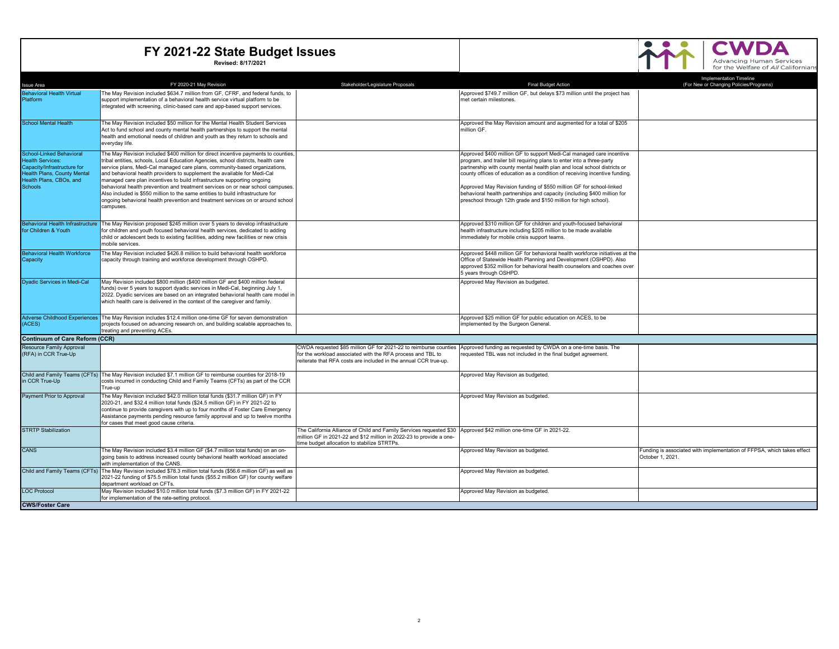

| <b>Issue Area</b>                                      | FY 2020-21 May Revision                                                                                                                                            | Stakeholder/Legislature Proposals                                                                                               | <b>Final Budget Action</b>                                                                                                                        | <b>Implementation Timeline</b><br>(For New or Changing Policies/Programs) |
|--------------------------------------------------------|--------------------------------------------------------------------------------------------------------------------------------------------------------------------|---------------------------------------------------------------------------------------------------------------------------------|---------------------------------------------------------------------------------------------------------------------------------------------------|---------------------------------------------------------------------------|
| <b>Behavioral Health Virtual</b>                       | The May Revision included \$634.7 million from GF, CFRF, and federal funds, to                                                                                     |                                                                                                                                 | Approved \$749.7 million GF, but delays \$73 million until the project has                                                                        |                                                                           |
| Platform                                               | support implementation of a behavioral health service virtual platform to be                                                                                       |                                                                                                                                 | met certain milestones.                                                                                                                           |                                                                           |
|                                                        | integrated with screening, clinic-based care and app-based support services.                                                                                       |                                                                                                                                 |                                                                                                                                                   |                                                                           |
| <b>School Mental Health</b>                            | The May Revision included \$50 million for the Mental Health Student Services                                                                                      |                                                                                                                                 | Approved the May Revision amount and augmented for a total of \$205                                                                               |                                                                           |
|                                                        | Act to fund school and county mental health partnerships to support the mental<br>health and emotional needs of children and youth as they return to schools and   |                                                                                                                                 | million GF.                                                                                                                                       |                                                                           |
|                                                        | everyday life.                                                                                                                                                     |                                                                                                                                 |                                                                                                                                                   |                                                                           |
| School-Linked Behavioral                               | The May Revision included \$400 million for direct incentive payments to counties,                                                                                 |                                                                                                                                 | Approved \$400 million GF to support Medi-Cal managed care incentive                                                                              |                                                                           |
| <b>Health Services:</b><br>Capacity/Infrastructure for | tribal entities, schools, Local Education Agencies, school districts, health care<br>service plans, Medi-Cal managed care plans, community-based organizations,    |                                                                                                                                 | program, and trailer bill requiring plans to enter into a three-party<br>partnership with county mental health plan and local school districts or |                                                                           |
| Health Plans, County Mental                            | and behavioral health providers to supplement the available for Medi-Cal                                                                                           |                                                                                                                                 | county offices of education as a condition of receiving incentive funding.                                                                        |                                                                           |
| Health Plans, CBOs, and                                | managed care plan incentives to build infrastructure supporting ongoing                                                                                            |                                                                                                                                 |                                                                                                                                                   |                                                                           |
| <b>Schools</b>                                         | behavioral health prevention and treatment services on or near school campuses.<br>Also included is \$550 million to the same entities to build infrastructure for |                                                                                                                                 | Approved May Revision funding of \$550 million GF for school-linked<br>behavioral health partnerships and capacity (including \$400 million for   |                                                                           |
|                                                        | ongoing behavioral health prevention and treatment services on or around school                                                                                    |                                                                                                                                 | preschool through 12th grade and \$150 million for high school).                                                                                  |                                                                           |
|                                                        | campuses.                                                                                                                                                          |                                                                                                                                 |                                                                                                                                                   |                                                                           |
| <b>Behavioral Health Infrastructure</b>                | The May Revision proposed \$245 million over 5 years to develop infrastructure                                                                                     |                                                                                                                                 | Approved \$310 million GF for children and vouth-focused behavioral                                                                               |                                                                           |
| for Children & Youth                                   | for children and youth focused behavioral health services, dedicated to adding                                                                                     |                                                                                                                                 | health infrastructure including \$205 million to be made available                                                                                |                                                                           |
|                                                        | child or adolescent beds to existing facilities, adding new facilities or new crisis                                                                               |                                                                                                                                 | immediately for mobile crisis support teams.                                                                                                      |                                                                           |
|                                                        | mobile services.                                                                                                                                                   |                                                                                                                                 |                                                                                                                                                   |                                                                           |
| <b>Behavioral Health Workforce</b><br>Capacity         | The May Revision included \$426.8 million to build behavioral health workforce<br>capacity through training and workforce development through OSHPD.               |                                                                                                                                 | Approved \$448 million GF for behavioral health workforce initiatives at the<br>Office of Statewide Health Planning and Development (OSHPD). Also |                                                                           |
|                                                        |                                                                                                                                                                    |                                                                                                                                 | approved \$352 million for behavioral health counselors and coaches over                                                                          |                                                                           |
|                                                        |                                                                                                                                                                    |                                                                                                                                 | 5 years through OSHPD.                                                                                                                            |                                                                           |
| <b>Dvadic Services in Medi-Cal</b>                     | May Revision included \$800 million (\$400 million GF and \$400 million federal                                                                                    |                                                                                                                                 | Approved May Revision as budgeted.                                                                                                                |                                                                           |
|                                                        | funds) over 5 years to support dyadic services in Medi-Cal, beginning July 1,<br>2022. Dyadic services are based on an integrated behavioral health care model in  |                                                                                                                                 |                                                                                                                                                   |                                                                           |
|                                                        | which health care is delivered in the context of the caregiver and family.                                                                                         |                                                                                                                                 |                                                                                                                                                   |                                                                           |
|                                                        |                                                                                                                                                                    |                                                                                                                                 |                                                                                                                                                   |                                                                           |
| <b>Adverse Childhood Experiences</b>                   | The May Revision includes \$12.4 million one-time GF for seven demonstration                                                                                       |                                                                                                                                 | Approved \$25 million GF for public education on ACES, to be                                                                                      |                                                                           |
| (ACES)                                                 | projects focused on advancing research on, and building scalable approaches to,<br>treating and preventing ACEs.                                                   |                                                                                                                                 | implemented by the Surgeon General.                                                                                                               |                                                                           |
| Continuum of Care Reform (CCR)                         |                                                                                                                                                                    |                                                                                                                                 |                                                                                                                                                   |                                                                           |
| Resource Family Approval<br>(RFA) in CCR True-Up       |                                                                                                                                                                    | CWDA requested \$85 million GF for 2021-22 to reimburse counties<br>for the workload associated with the RFA process and TBL to | Approved funding as requested by CWDA on a one-time basis. The<br>requested TBL was not included in the final budget agreement.                   |                                                                           |
|                                                        |                                                                                                                                                                    | reiterate that RFA costs are included in the annual CCR true-up.                                                                |                                                                                                                                                   |                                                                           |
|                                                        |                                                                                                                                                                    |                                                                                                                                 |                                                                                                                                                   |                                                                           |
|                                                        | Child and Family Teams (CFTs) The May Revision included \$7.1 million GF to reimburse counties for 2018-19                                                         |                                                                                                                                 | Approved May Revision as budgeted.                                                                                                                |                                                                           |
| in CCR True-Up                                         | costs incurred in conducting Child and Family Teams (CFTs) as part of the CCR<br>True-up                                                                           |                                                                                                                                 |                                                                                                                                                   |                                                                           |
| Payment Prior to Approval                              | The May Revision included \$42.0 million total funds (\$31.7 million GF) in FY                                                                                     |                                                                                                                                 | Approved May Revision as budgeted.                                                                                                                |                                                                           |
|                                                        | 2020-21, and \$32.4 million total funds (\$24.5 million GF) in FY 2021-22 to                                                                                       |                                                                                                                                 |                                                                                                                                                   |                                                                           |
|                                                        | continue to provide caregivers with up to four months of Foster Care Emergency                                                                                     |                                                                                                                                 |                                                                                                                                                   |                                                                           |
|                                                        | Assistance payments pending resource family approval and up to twelve months<br>for cases that meet good cause criteria                                            |                                                                                                                                 |                                                                                                                                                   |                                                                           |
| <b>STRTP Stabilization</b>                             |                                                                                                                                                                    | The California Alliance of Child and Family Services requested \$30 Approved \$42 million one-time GF in 2021-22.               |                                                                                                                                                   |                                                                           |
|                                                        |                                                                                                                                                                    | million GF in 2021-22 and \$12 million in 2022-23 to provide a one-                                                             |                                                                                                                                                   |                                                                           |
| <b>CANS</b>                                            | The May Revision included \$3.4 million GF (\$4.7 million total funds) on an on-                                                                                   | time budget allocation to stabilize STRTPs.                                                                                     | Approved May Revision as budgeted.                                                                                                                | Funding is associated with implementation of FFPSA, which takes effect    |
|                                                        | going basis to address increased county behavioral health workload associated                                                                                      |                                                                                                                                 |                                                                                                                                                   | October 1, 2021.                                                          |
|                                                        | with implementation of the CANS.                                                                                                                                   |                                                                                                                                 |                                                                                                                                                   |                                                                           |
|                                                        | Child and Family Teams (CFTs) The May Revision included \$78.3 million total funds (\$56.6 million GF) as well as                                                  |                                                                                                                                 | Approved May Revision as budgeted.                                                                                                                |                                                                           |
|                                                        | 2021-22 funding of \$75.5 million total funds (\$55.2 million GF) for county welfare<br>department workload on CFTs.                                               |                                                                                                                                 |                                                                                                                                                   |                                                                           |
| <b>LOC Protocol</b>                                    | May Revision included \$10.0 million total funds (\$7.3 million GF) in FY 2021-22                                                                                  |                                                                                                                                 | Approved May Revision as budgeted.                                                                                                                |                                                                           |
|                                                        | for implementation of the rate-setting protocol.                                                                                                                   |                                                                                                                                 |                                                                                                                                                   |                                                                           |
| <b>CWS/Foster Care</b>                                 |                                                                                                                                                                    |                                                                                                                                 |                                                                                                                                                   |                                                                           |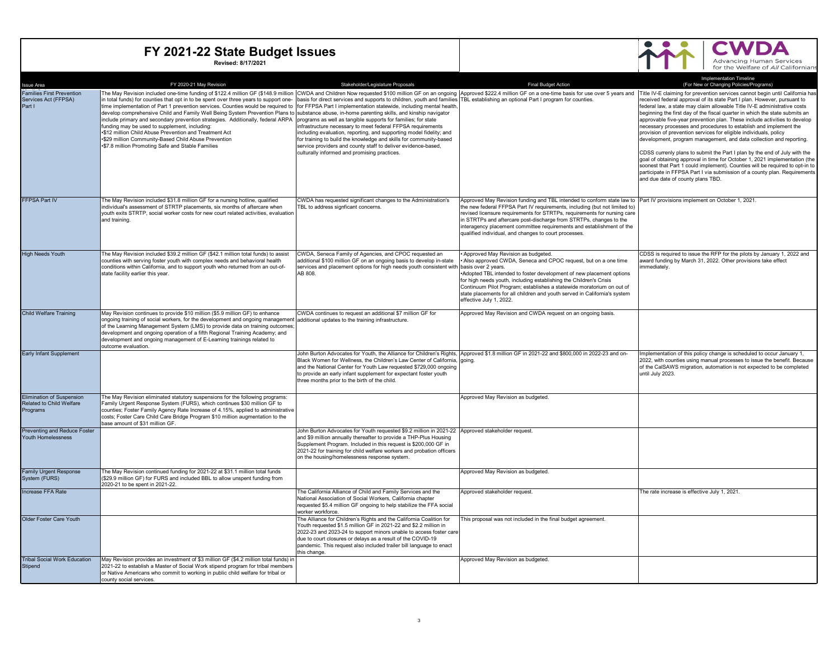

| <b>Issue Area</b>                                                        | FY 2020-21 May Revision                                                                                                                                                                                                                                                                                                                                                                                                                                                                                                                                                                                                                                                                                                                                                                                                                                                                                                                                                                                        | Stakeholder/Legislature Proposals                                                                                                                                                                                                                                                                                                                                                                                                                             | <b>Final Budget Action</b>                                                                                                                                                                                                                                                                                                                                                                                                                                                                | <b>Implementation Timeline</b><br>(For New or Changing Policies/Programs)                                                                                                                                                                                                                                                                                                                                                                                                                                                                                                                                                                                                                                                                                                                                                                                                                     |
|--------------------------------------------------------------------------|----------------------------------------------------------------------------------------------------------------------------------------------------------------------------------------------------------------------------------------------------------------------------------------------------------------------------------------------------------------------------------------------------------------------------------------------------------------------------------------------------------------------------------------------------------------------------------------------------------------------------------------------------------------------------------------------------------------------------------------------------------------------------------------------------------------------------------------------------------------------------------------------------------------------------------------------------------------------------------------------------------------|---------------------------------------------------------------------------------------------------------------------------------------------------------------------------------------------------------------------------------------------------------------------------------------------------------------------------------------------------------------------------------------------------------------------------------------------------------------|-------------------------------------------------------------------------------------------------------------------------------------------------------------------------------------------------------------------------------------------------------------------------------------------------------------------------------------------------------------------------------------------------------------------------------------------------------------------------------------------|-----------------------------------------------------------------------------------------------------------------------------------------------------------------------------------------------------------------------------------------------------------------------------------------------------------------------------------------------------------------------------------------------------------------------------------------------------------------------------------------------------------------------------------------------------------------------------------------------------------------------------------------------------------------------------------------------------------------------------------------------------------------------------------------------------------------------------------------------------------------------------------------------|
| <b>Families First Prevention</b><br>Services Act (FFPSA)<br>Part I       | The May Revision included one-time funding of \$122.4 million GF (\$148.9 million  CWDA and Children Now requested \$100 million GF on an ongoing  Approved \$222.4 million GF on a one-time basis for use over 5 years and  Title<br>in total funds) for counties that opt in to be spent over three years to support one-<br>time implementation of Part 1 prevention services. Counties would be required to [for FFPSA Part I implementation statewide, including mental health,<br>develop comprehensive Child and Family Well Being System Prevention Plans to substance abuse, in-home parenting skills, and kinship navigator<br>include primary and secondary prevention strategies. Additionally, federal ARPA programs as well as tangible supports for families; for state<br>funding may be used to supplement, including:<br>.\$12 million Child Abuse Prevention and Treatment Act<br>.\$29 million Community-Based Child Abuse Prevention<br>.\$7.8 million Promoting Safe and Stable Families | basis for direct services and supports to children, youth and families TBL establishing an optional Part I program for counties.<br>infrastructure necessary to meet federal FFPSA requirements<br>including evaluation, reporting, and supporting model fidelity; and<br>for training to build the knowledge and skills for community-based<br>service providers and county staff to deliver evidence-based,<br>culturally informed and promising practices. |                                                                                                                                                                                                                                                                                                                                                                                                                                                                                           | eceived federal approval of its state Part I plan. However, pursuant to<br>federal law, a state may claim allowable Title IV-E administrative costs<br>beginning the first day of the fiscal quarter in which the state submits an<br>approvable five-year prevention plan. These include activities to develop<br>necessary processes and procedures to establish and implement the<br>provision of prevention services for eligible individuals, policy<br>development, program management, and data collection and reporting.<br>CDSS currenly plans to submit the Part I plan by the end of July with the<br>goal of obtaining approval in time for October 1, 2021 implementation (the<br>soonest that Part 1 could implement). Counties will be required to opt-in to<br>participate in FFPSA Part I via submission of a county plan. Requirements<br>and due date of county plans TBD. |
| <b>FFPSA Part IV</b>                                                     | The May Revision included \$31.8 million GF for a nursing hotline, qualified<br>individual's assessment of STRTP placements, six months of aftercare when<br>youth exits STRTP, social worker costs for new court related activities, evaluation<br>and training.                                                                                                                                                                                                                                                                                                                                                                                                                                                                                                                                                                                                                                                                                                                                              | CWDA has requested significant changes to the Administration's<br>TBL to address signficant concerns.                                                                                                                                                                                                                                                                                                                                                         | Approved May Revision funding and TBL intended to conform state law to Part IV provisions implement on October 1, 2021.<br>the new federal FFPSA Part IV requirements, including (but not limited to)<br>revised licensure requirements for STRTPs, requirements for nursing care<br>in STRTPs and aftercare post-discharge from STRTPs, changes to the<br>interagency placement committee requirements and establishment of the<br>qualified individual, and changes to court processes. |                                                                                                                                                                                                                                                                                                                                                                                                                                                                                                                                                                                                                                                                                                                                                                                                                                                                                               |
| <b>High Needs Youth</b>                                                  | The May Revision included \$39.2 million GF (\$42.1 million total funds) to assist<br>counties with serving foster youth with complex needs and behavioral health<br>conditions within California, and to support youth who returned from an out-of-<br>state facility earlier this year.                                                                                                                                                                                                                                                                                                                                                                                                                                                                                                                                                                                                                                                                                                                      | CWDA, Seneca Family of Agencies, and CPOC requested an<br>additional \$100 million GF on an ongoing basis to develop in-state<br>services and placement options for high needs youth consistent with basis over 2 years.<br>AB 808.                                                                                                                                                                                                                           | *Approved May Revision as budgeted.<br>*Also approved CWDA, Seneca and CPOC request, but on a one time<br>*Adopted TBL intended to foster development of new placement options<br>for high needs youth, including establishing the Children's Crisis<br>Continuum Pilot Program; establishes a statewide moratorium on out of<br>state placements for all children and youth served in California's system<br>effective July 1, 2022.                                                     | CDSS is required to issue the RFP for the pilots by January 1, 2022 and<br>award funding by March 31, 2022. Other provisions take effect<br>immediately.                                                                                                                                                                                                                                                                                                                                                                                                                                                                                                                                                                                                                                                                                                                                      |
| Child Welfare Training                                                   | May Revision continues to provide \$10 million (\$5.9 million GF) to enhance<br>ongoing training of social workers, for the development and ongoing management additional updates to the training infrastructure.<br>of the Learning Management System (LMS) to provide data on training outcomes;<br>development and ongoing operation of a fifth Regional Training Academy; and<br>development and ongoing management of E-Learning trainings related to<br>outcome evaluation.                                                                                                                                                                                                                                                                                                                                                                                                                                                                                                                              | CWDA continues to request an additional \$7 million GF for                                                                                                                                                                                                                                                                                                                                                                                                    | Approved May Revision and CWDA request on an ongoing basis.                                                                                                                                                                                                                                                                                                                                                                                                                               |                                                                                                                                                                                                                                                                                                                                                                                                                                                                                                                                                                                                                                                                                                                                                                                                                                                                                               |
| Early Infant Supplement                                                  |                                                                                                                                                                                                                                                                                                                                                                                                                                                                                                                                                                                                                                                                                                                                                                                                                                                                                                                                                                                                                | Black Women for Wellness, the Children's Law Center of California, gooing.<br>and the National Center for Youth Law requested \$729,000 ongoing<br>to provide an early infant supplement for expectant foster youth<br>three months prior to the birth of the child.                                                                                                                                                                                          | John Burton Advocates for Youth, the Alliance for Children's Rights. Approved \$1.8 million GF in 2021-22 and \$800,000 in 2022-23 and on-                                                                                                                                                                                                                                                                                                                                                | Implementation of this policy change is scheduled to occur January 1,<br>2022, with counties using manual processes to issue the benefit. Because<br>of the CalSAWS migration, automation is not expected to be completed<br>until July 2023.                                                                                                                                                                                                                                                                                                                                                                                                                                                                                                                                                                                                                                                 |
| <b>Elimination of Suspension</b><br>Related to Child Welfare<br>Programs | The May Revision eliminated statutory suspensions for the following programs:<br>Family Urgent Response System (FURS), which continues \$30 million GF to<br>counties; Foster Family Agency Rate Increase of 4.15%, applied to administrative<br>costs; Foster Care Child Care Bridge Program \$10 million augmentation to the<br>base amount of \$31 million GF                                                                                                                                                                                                                                                                                                                                                                                                                                                                                                                                                                                                                                               |                                                                                                                                                                                                                                                                                                                                                                                                                                                               | Approved May Revision as budgeted.                                                                                                                                                                                                                                                                                                                                                                                                                                                        |                                                                                                                                                                                                                                                                                                                                                                                                                                                                                                                                                                                                                                                                                                                                                                                                                                                                                               |
| Preventing and Reduce Foster<br>Youth Homelessness                       |                                                                                                                                                                                                                                                                                                                                                                                                                                                                                                                                                                                                                                                                                                                                                                                                                                                                                                                                                                                                                | John Burton Advocates for Youth requested \$9.2 million in 2021-22 Approved stakeholder request.<br>and \$9 million annually thereafter to provide a THP-Plus Housing<br>Supplement Program. Included in this request is \$200,000 GF in<br>2021-22 for training for child welfare workers and probation officers<br>on the housing/homelessness response system.                                                                                             |                                                                                                                                                                                                                                                                                                                                                                                                                                                                                           |                                                                                                                                                                                                                                                                                                                                                                                                                                                                                                                                                                                                                                                                                                                                                                                                                                                                                               |
| Family Urgent Response<br>System (FURS)                                  | The May Revision continued funding for 2021-22 at \$31.1 million total funds<br>(\$29.9 million GF) for FURS and included BBL to allow unspent funding from<br>2020-21 to be spent in 2021-22.                                                                                                                                                                                                                                                                                                                                                                                                                                                                                                                                                                                                                                                                                                                                                                                                                 |                                                                                                                                                                                                                                                                                                                                                                                                                                                               | Approved May Revision as budgeted.                                                                                                                                                                                                                                                                                                                                                                                                                                                        |                                                                                                                                                                                                                                                                                                                                                                                                                                                                                                                                                                                                                                                                                                                                                                                                                                                                                               |
| Increase FFA Rate                                                        |                                                                                                                                                                                                                                                                                                                                                                                                                                                                                                                                                                                                                                                                                                                                                                                                                                                                                                                                                                                                                | The California Alliance of Child and Family Services and the<br>National Association of Social Workers, California chapter<br>requested \$5.4 million GF ongoing to help stabilize the FFA social<br>worker workforce                                                                                                                                                                                                                                         | Approved stakeholder request.                                                                                                                                                                                                                                                                                                                                                                                                                                                             | The rate increase is effective July 1, 2021.                                                                                                                                                                                                                                                                                                                                                                                                                                                                                                                                                                                                                                                                                                                                                                                                                                                  |
| Older Foster Care Youth                                                  |                                                                                                                                                                                                                                                                                                                                                                                                                                                                                                                                                                                                                                                                                                                                                                                                                                                                                                                                                                                                                | The Alliance for Children's Rights and the California Coalition for<br>Youth requested \$1.5 million GF in 2021-22 and \$2.2 million in<br>2022-23 and 2023-24 to support minors unable to access foster care<br>due to court closures or delays as a result of the COVID-19<br>pandemic. This request also included trailer bill language to enact<br>this change                                                                                            | This proposal was not included in the final budget agreement.                                                                                                                                                                                                                                                                                                                                                                                                                             |                                                                                                                                                                                                                                                                                                                                                                                                                                                                                                                                                                                                                                                                                                                                                                                                                                                                                               |
| <b>Tribal Social Work Education</b><br>Stipend                           | May Revision provides an investment of \$3 million GF (\$4.2 million total funds) in<br>2021-22 to establish a Master of Social Work stipend program for tribal members<br>or Native Americans who commit to working in public child welfare for tribal or<br>county social services.                                                                                                                                                                                                                                                                                                                                                                                                                                                                                                                                                                                                                                                                                                                          |                                                                                                                                                                                                                                                                                                                                                                                                                                                               | Approved May Revision as budgeted.                                                                                                                                                                                                                                                                                                                                                                                                                                                        |                                                                                                                                                                                                                                                                                                                                                                                                                                                                                                                                                                                                                                                                                                                                                                                                                                                                                               |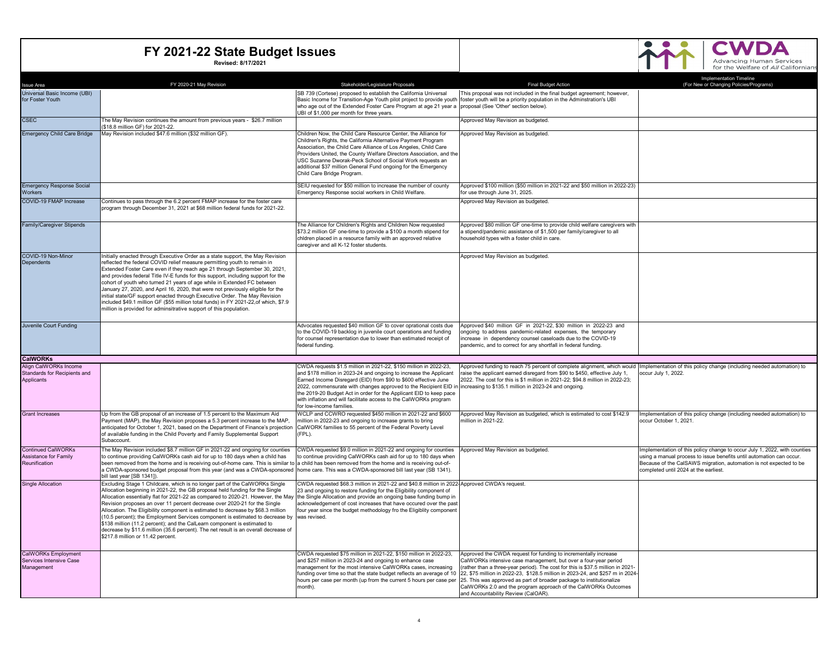| SB 739 (Cortese) proposed to establish the California Universal<br>This proposal was not included in the final budget agreement; however,<br>Basic Income for Transition-Age Youth pilot project to provide youth  foster youth will be a priority population in the Adminstration's UBI<br>who age out of the Extended Foster Care Program at age 21 year a<br>proposal (See 'Other' section below).<br>UBI of \$1,000 per month for three years.<br><b>CSEC</b><br>The May Revision continues the amount from previous years - \$26.7 million<br>Approved May Revision as budgeted.<br>(\$18.8 million GF) for 2021-22.<br><b>Emergency Child Care Bridge</b><br>May Revision included \$47.6 million (\$32 million GF).<br>Children Now, the Child Care Resource Center, the Alliance for<br>Approved May Revision as budgeted.<br>Children's Rights, the California Alternative Payment Program<br>Association, the Child Care Alliance of Los Angeles, Child Care<br>Providers United, the County Welfare Directors Association, and the<br>USC Suzanne Dworak-Peck School of Social Work requests an<br>additional \$37 million General Fund ongoing for the Emergency<br>Child Care Bridge Program.<br><b>Emergency Response Social</b><br>SEIU requested for \$50 million to increase the number of county<br>Approved \$100 million (\$50 million in 2021-22 and \$50 million in 2022-23)<br>Emergency Response social workers in Child Welfare.<br>for use through June 31, 2025.<br>Workers<br>COVID-19 FMAP Increase<br>Continues to pass through the 6.2 percent FMAP increase for the foster care<br>Approved May Revision as budgeted.<br>program through December 31, 2021 at \$68 million federal funds for 2021-22.<br>The Alliance for Children's Rights and Children Now requested<br>Approved \$80 million GF one-time to provide child welfare caregivers with<br>\$73.2 million GF one-time to provide a \$100 a month stipend for<br>a stipend/pandemic assistance of \$1,500 per family/caregiver to all<br>chidren placed in a resource family with an approved relative<br>household types with a foster child in care.<br>caregiver and all K-12 foster students.<br>COVID-19 Non-Minor<br>Initially enacted through Executive Order as a state support, the May Revision<br>Approved May Revision as budgeted.<br>Dependents<br>reflected the federal COVID relief measure permitting youth to remain in<br>Extended Foster Care even if they reach age 21 through September 30, 2021,<br>and provides federal Title IV-E funds for this support, including support for the<br>cohort of youth who turned 21 years of age while in Extended FC between<br>January 27, 2020, and April 16, 2020, that were not previously eligible for the<br>initial state/GF support enacted through Executive Order. The May Revision<br>included \$49.1 million GF (\$55 million total funds) in FY 2021-22.of which, \$7.9<br>million is provided for adminsitrative support of this population.<br>Juvenile Court Funding<br>Advocates requested \$40 million GF to cover oprational costs due<br>Approved \$40 million GF in 2021-22, \$30 million in 2022-23 and<br>to the COVID-19 backlog in juvenile court operations and funding<br>ongoing to address pandemic-related expenses, the temporary<br>for counsel representation due to lower than estimated receipt of<br>increase in dependency counsel caseloads due to the COVID-19<br>federal funding.<br>pandemic, and to correct for any shortfall in federal funding.<br>Align CalWORKs Income<br>CWDA requests \$1.5 million in 2021-22, \$150 million in 2022-23,<br>Approved funding to reach 75 percent of complete alignment, which would Implementation of this policy change (including needed automation) to<br>Standards for Recipients and<br>and \$178 million in 2023-24 and ongoing to increase the Applicant<br>raise the applicant earned disregard from \$90 to \$450, effective July 1,<br>occur July 1, 2022.<br>Earned Income Disregard (EID) from \$90 to \$600 effective June<br>2022. The cost for this is \$1 million in 2021-22; \$94.8 million in 2022-23;<br>Applicants<br>2022, commensurate with changes approved to the Recipient EID in increasing to \$135.1 million in 2023-24 and ongoing.<br>the 2019-20 Budget Act in order for the Applicant EID to keep pace<br>with inflation and will facilitate access to the CalWORKs program<br>for low-income families.<br>WCLP and CCWRO requested \$450 million in 2021-22 and \$600<br>Up from the GB proposal of an increase of 1.5 percent to the Maximum Aid<br>Approved May Revision as budgeted, which is estimated to cost \$142.9<br>Implementation of this policy change (including needed automation) to<br>million in 2022-23 and ongoing to increase grants to bring<br>Payment (MAP), the May Revision proposes a 5.3 percent increase to the MAP,<br>million in 2021-22.<br>occur October 1, 2021<br>CalWORK families to 55 percent of the Federal Poverty Level<br>anticipated for October 1, 2021, based on the Department of Finance's projection<br>of available funding in the Child Poverty and Family Supplemental Support<br>(FPL).<br>Subaccount<br>The May Revision included \$8.7 million GF in 2021-22 and ongoing for counties<br>CWDA requested \$9.0 million in 2021-22 and ongoing for counties<br>Approved May Revision as budgeted.<br>Implementation of this policy change to occur July 1, 2022, with counties<br>to continue providing CalWORKs cash aid for up to 180 days when a child has<br>to continue providing CalWORKs cash aid for up to 180 days when<br>using a manual process to issue benefits until automation can occur.<br>Reunification<br>been removed from the home and is receiving out-of-home care. This is similar to<br>a child has been removed from the home and is receiving out-of-<br>Because of the CalSAWS migration, automation is not expected to be<br>a CWDA-sponsored budget proposal from this year (and was a CWDA-sponsored  home care. This was a CWDA-sponsored bill last year (SB 1341).<br>completed until 2024 at the earliest.<br>bill last year [SB 1341]).<br>Excluding Stage 1 Childcare, which is no longer part of the CalWORKs Single<br>CWDA requested \$68.3 million in 2021-22 and \$40.8 million in 2022 Approved CWDA's request.<br>Allocation beginning in 2021-22, the GB proposal held funding for the Single<br>23 and ongoing to restore funding for the Eligibility component of<br>Allocation essentially flat for 2021-22 as compared to 2020-21. However, the May the Single Allocation and provide an ongoing base funding bump in<br>Revision proposes an over 11 percent decrease over 2020-21 for the Single<br>acknowledgement of cost increases that have occured over the past<br>Allocation. The Eligibility component is estimated to decrease by \$68.3 million<br>four year since the budget methodology fro the Eligiblity component<br>(10.5 percent); the Employment Services component is estimated to decrease by<br>was revised<br>\$138 million (11.2 percent); and the CalLearn component is estimated to<br>decrease by \$11.6 million (35.6 percent). The net result is an overall decrease of<br>\$217.8 million or 11.42 percent.<br>CWDA requested \$75 million in 2021-22, \$150 million in 2022-23,<br>Approved the CWDA request for funding to incrementally increase<br>and \$257 million in 2023-24 and ongoing to enhance case<br>Services Intensive Case<br>CalWORKs intensive case management, but over a four-year period<br>Management<br>management for the most intensive CalWORKs cases, increasing<br>(rather than a three-year period). The cost for this is \$37.5 million in 2021-<br>22, \$75 million in 2022-23, \$128.5 million in 2023-24, and \$257 m in 2024-<br>funding over time so that the state budget reflects an average of 10<br>hours per case per month (up from the current 5 hours per case per<br>25. This was approved as part of broader package to institutionalize<br>month).<br>CalWORKs 2.0 and the program approach of the CalWORKs Outcomes<br>and Accountability Review (CalOAR). | <b>Issue Area</b>            | FY 2020-21 May Revision | Stakeholder/Legislature Proposals | <b>Final Budget Action</b> | <b>Implementation Timeline</b><br>(For New or Changing Policies/Programs) |
|----------------------------------------------------------------------------------------------------------------------------------------------------------------------------------------------------------------------------------------------------------------------------------------------------------------------------------------------------------------------------------------------------------------------------------------------------------------------------------------------------------------------------------------------------------------------------------------------------------------------------------------------------------------------------------------------------------------------------------------------------------------------------------------------------------------------------------------------------------------------------------------------------------------------------------------------------------------------------------------------------------------------------------------------------------------------------------------------------------------------------------------------------------------------------------------------------------------------------------------------------------------------------------------------------------------------------------------------------------------------------------------------------------------------------------------------------------------------------------------------------------------------------------------------------------------------------------------------------------------------------------------------------------------------------------------------------------------------------------------------------------------------------------------------------------------------------------------------------------------------------------------------------------------------------------------------------------------------------------------------------------------------------------------------------------------------------------------------------------------------------------------------------------------------------------------------------------------------------------------------------------------------------------------------------------------------------------------------------------------------------------------------------------------------------------------------------------------------------------------------------------------------------------------------------------------------------------------------------------------------------------------------------------------------------------------------------------------------------------------------------------------------------------------------------------------------------------------------------------------------------------------------------------------------------------------------------------------------------------------------------------------------------------------------------------------------------------------------------------------------------------------------------------------------------------------------------------------------------------------------------------------------------------------------------------------------------------------------------------------------------------------------------------------------------------------------------------------------------------------------------------------------------------------------------------------------------------------------------------------------------------------------------------------------------------------------------------------------------------------------------------------------------------------------------------------------------------------------------------------------------------------------------------------------------------------------------------------------------------------------------------------------------------------------------------------------------------------------------------------------------------------------------------------------------------------------------------------------------------------------------------------------------------------------------------------------------------------------------------------------------------------------------------------------------------------------------------------------------------------------------------------------------------------------------------------------------------------------------------------------------------------------------------------------------------------------------------------------------------------------------------------------------------------------------------------------------------------------------------------------------------------------------------------------------------------------------------------------------------------------------------------------------------------------------------------------------------------------------------------------------------------------------------------------------------------------------------------------------------------------------------------------------------------------------------------------------------------------------------------------------------------------------------------------------------------------------------------------------------------------------------------------------------------------------------------------------------------------------------------------------------------------------------------------------------------------------------------------------------------------------------------------------------------------------------------------------------------------------------------------------------------------------------------------------------------------------------------------------------------------------------------------------------------------------------------------------------------------------------------------------------------------------------------------------------------------------------------------------------------------------------------------------------------------------------------------------------------------------------------------------------------------------------------------------------------------------------------------------------------------------------------------------------------------------------------------------------------------------------------------------------------------------------------------------------------------------------------------------------------------------------------------------------------------------------------------------------------------------------------------------------------------------------------------------------------------------------------------------------------------------------------------------------------------------------------------------------------------------------------------------------------------------------------------------------------------------------------------------------------------------------------------------------------------------------------------------------------------------------------------------------------------------------------------------------------------------------------------------------------------------------------------------------------------------------------------------------------------------------------------------------------------------------------------------------------------------------------------------------------------------------------------------------------------------------------------------------------------------------------------------------------------------------------------------------------------------------------------------------------------------------------------------------------------------------------------------------------------------------------------------------------------------------------------------------------------------------------------|------------------------------|-------------------------|-----------------------------------|----------------------------|---------------------------------------------------------------------------|
|                                                                                                                                                                                                                                                                                                                                                                                                                                                                                                                                                                                                                                                                                                                                                                                                                                                                                                                                                                                                                                                                                                                                                                                                                                                                                                                                                                                                                                                                                                                                                                                                                                                                                                                                                                                                                                                                                                                                                                                                                                                                                                                                                                                                                                                                                                                                                                                                                                                                                                                                                                                                                                                                                                                                                                                                                                                                                                                                                                                                                                                                                                                                                                                                                                                                                                                                                                                                                                                                                                                                                                                                                                                                                                                                                                                                                                                                                                                                                                                                                                                                                                                                                                                                                                                                                                                                                                                                                                                                                                                                                                                                                                                                                                                                                                                                                                                                                                                                                                                                                                                                                                                                                                                                                                                                                                                                                                                                                                                                                                                                                                                                                                                                                                                                                                                                                                                                                                                                                                                                                                                                                                                                                                                                                                                                                                                                                                                                                                                                                                                                                                                                                                                                                                                                                                                                                                                                                                                                                                                                                                                                                                                                                                                                                                                                                                                                                                                                                                                                                                                                                                                                                                                                                                                                                                                                                                                                                                                                                                                                                                                                                                                                                                                                                      | Universal Basic Income (UBI) |                         |                                   |                            |                                                                           |
|                                                                                                                                                                                                                                                                                                                                                                                                                                                                                                                                                                                                                                                                                                                                                                                                                                                                                                                                                                                                                                                                                                                                                                                                                                                                                                                                                                                                                                                                                                                                                                                                                                                                                                                                                                                                                                                                                                                                                                                                                                                                                                                                                                                                                                                                                                                                                                                                                                                                                                                                                                                                                                                                                                                                                                                                                                                                                                                                                                                                                                                                                                                                                                                                                                                                                                                                                                                                                                                                                                                                                                                                                                                                                                                                                                                                                                                                                                                                                                                                                                                                                                                                                                                                                                                                                                                                                                                                                                                                                                                                                                                                                                                                                                                                                                                                                                                                                                                                                                                                                                                                                                                                                                                                                                                                                                                                                                                                                                                                                                                                                                                                                                                                                                                                                                                                                                                                                                                                                                                                                                                                                                                                                                                                                                                                                                                                                                                                                                                                                                                                                                                                                                                                                                                                                                                                                                                                                                                                                                                                                                                                                                                                                                                                                                                                                                                                                                                                                                                                                                                                                                                                                                                                                                                                                                                                                                                                                                                                                                                                                                                                                                                                                                                                                      | for Foster Youth             |                         |                                   |                            |                                                                           |
|                                                                                                                                                                                                                                                                                                                                                                                                                                                                                                                                                                                                                                                                                                                                                                                                                                                                                                                                                                                                                                                                                                                                                                                                                                                                                                                                                                                                                                                                                                                                                                                                                                                                                                                                                                                                                                                                                                                                                                                                                                                                                                                                                                                                                                                                                                                                                                                                                                                                                                                                                                                                                                                                                                                                                                                                                                                                                                                                                                                                                                                                                                                                                                                                                                                                                                                                                                                                                                                                                                                                                                                                                                                                                                                                                                                                                                                                                                                                                                                                                                                                                                                                                                                                                                                                                                                                                                                                                                                                                                                                                                                                                                                                                                                                                                                                                                                                                                                                                                                                                                                                                                                                                                                                                                                                                                                                                                                                                                                                                                                                                                                                                                                                                                                                                                                                                                                                                                                                                                                                                                                                                                                                                                                                                                                                                                                                                                                                                                                                                                                                                                                                                                                                                                                                                                                                                                                                                                                                                                                                                                                                                                                                                                                                                                                                                                                                                                                                                                                                                                                                                                                                                                                                                                                                                                                                                                                                                                                                                                                                                                                                                                                                                                                                                      |                              |                         |                                   |                            |                                                                           |
|                                                                                                                                                                                                                                                                                                                                                                                                                                                                                                                                                                                                                                                                                                                                                                                                                                                                                                                                                                                                                                                                                                                                                                                                                                                                                                                                                                                                                                                                                                                                                                                                                                                                                                                                                                                                                                                                                                                                                                                                                                                                                                                                                                                                                                                                                                                                                                                                                                                                                                                                                                                                                                                                                                                                                                                                                                                                                                                                                                                                                                                                                                                                                                                                                                                                                                                                                                                                                                                                                                                                                                                                                                                                                                                                                                                                                                                                                                                                                                                                                                                                                                                                                                                                                                                                                                                                                                                                                                                                                                                                                                                                                                                                                                                                                                                                                                                                                                                                                                                                                                                                                                                                                                                                                                                                                                                                                                                                                                                                                                                                                                                                                                                                                                                                                                                                                                                                                                                                                                                                                                                                                                                                                                                                                                                                                                                                                                                                                                                                                                                                                                                                                                                                                                                                                                                                                                                                                                                                                                                                                                                                                                                                                                                                                                                                                                                                                                                                                                                                                                                                                                                                                                                                                                                                                                                                                                                                                                                                                                                                                                                                                                                                                                                                                      |                              |                         |                                   |                            |                                                                           |
|                                                                                                                                                                                                                                                                                                                                                                                                                                                                                                                                                                                                                                                                                                                                                                                                                                                                                                                                                                                                                                                                                                                                                                                                                                                                                                                                                                                                                                                                                                                                                                                                                                                                                                                                                                                                                                                                                                                                                                                                                                                                                                                                                                                                                                                                                                                                                                                                                                                                                                                                                                                                                                                                                                                                                                                                                                                                                                                                                                                                                                                                                                                                                                                                                                                                                                                                                                                                                                                                                                                                                                                                                                                                                                                                                                                                                                                                                                                                                                                                                                                                                                                                                                                                                                                                                                                                                                                                                                                                                                                                                                                                                                                                                                                                                                                                                                                                                                                                                                                                                                                                                                                                                                                                                                                                                                                                                                                                                                                                                                                                                                                                                                                                                                                                                                                                                                                                                                                                                                                                                                                                                                                                                                                                                                                                                                                                                                                                                                                                                                                                                                                                                                                                                                                                                                                                                                                                                                                                                                                                                                                                                                                                                                                                                                                                                                                                                                                                                                                                                                                                                                                                                                                                                                                                                                                                                                                                                                                                                                                                                                                                                                                                                                                                                      |                              |                         |                                   |                            |                                                                           |
|                                                                                                                                                                                                                                                                                                                                                                                                                                                                                                                                                                                                                                                                                                                                                                                                                                                                                                                                                                                                                                                                                                                                                                                                                                                                                                                                                                                                                                                                                                                                                                                                                                                                                                                                                                                                                                                                                                                                                                                                                                                                                                                                                                                                                                                                                                                                                                                                                                                                                                                                                                                                                                                                                                                                                                                                                                                                                                                                                                                                                                                                                                                                                                                                                                                                                                                                                                                                                                                                                                                                                                                                                                                                                                                                                                                                                                                                                                                                                                                                                                                                                                                                                                                                                                                                                                                                                                                                                                                                                                                                                                                                                                                                                                                                                                                                                                                                                                                                                                                                                                                                                                                                                                                                                                                                                                                                                                                                                                                                                                                                                                                                                                                                                                                                                                                                                                                                                                                                                                                                                                                                                                                                                                                                                                                                                                                                                                                                                                                                                                                                                                                                                                                                                                                                                                                                                                                                                                                                                                                                                                                                                                                                                                                                                                                                                                                                                                                                                                                                                                                                                                                                                                                                                                                                                                                                                                                                                                                                                                                                                                                                                                                                                                                                                      |                              |                         |                                   |                            |                                                                           |
|                                                                                                                                                                                                                                                                                                                                                                                                                                                                                                                                                                                                                                                                                                                                                                                                                                                                                                                                                                                                                                                                                                                                                                                                                                                                                                                                                                                                                                                                                                                                                                                                                                                                                                                                                                                                                                                                                                                                                                                                                                                                                                                                                                                                                                                                                                                                                                                                                                                                                                                                                                                                                                                                                                                                                                                                                                                                                                                                                                                                                                                                                                                                                                                                                                                                                                                                                                                                                                                                                                                                                                                                                                                                                                                                                                                                                                                                                                                                                                                                                                                                                                                                                                                                                                                                                                                                                                                                                                                                                                                                                                                                                                                                                                                                                                                                                                                                                                                                                                                                                                                                                                                                                                                                                                                                                                                                                                                                                                                                                                                                                                                                                                                                                                                                                                                                                                                                                                                                                                                                                                                                                                                                                                                                                                                                                                                                                                                                                                                                                                                                                                                                                                                                                                                                                                                                                                                                                                                                                                                                                                                                                                                                                                                                                                                                                                                                                                                                                                                                                                                                                                                                                                                                                                                                                                                                                                                                                                                                                                                                                                                                                                                                                                                                                      |                              |                         |                                   |                            |                                                                           |
|                                                                                                                                                                                                                                                                                                                                                                                                                                                                                                                                                                                                                                                                                                                                                                                                                                                                                                                                                                                                                                                                                                                                                                                                                                                                                                                                                                                                                                                                                                                                                                                                                                                                                                                                                                                                                                                                                                                                                                                                                                                                                                                                                                                                                                                                                                                                                                                                                                                                                                                                                                                                                                                                                                                                                                                                                                                                                                                                                                                                                                                                                                                                                                                                                                                                                                                                                                                                                                                                                                                                                                                                                                                                                                                                                                                                                                                                                                                                                                                                                                                                                                                                                                                                                                                                                                                                                                                                                                                                                                                                                                                                                                                                                                                                                                                                                                                                                                                                                                                                                                                                                                                                                                                                                                                                                                                                                                                                                                                                                                                                                                                                                                                                                                                                                                                                                                                                                                                                                                                                                                                                                                                                                                                                                                                                                                                                                                                                                                                                                                                                                                                                                                                                                                                                                                                                                                                                                                                                                                                                                                                                                                                                                                                                                                                                                                                                                                                                                                                                                                                                                                                                                                                                                                                                                                                                                                                                                                                                                                                                                                                                                                                                                                                                                      |                              |                         |                                   |                            |                                                                           |
|                                                                                                                                                                                                                                                                                                                                                                                                                                                                                                                                                                                                                                                                                                                                                                                                                                                                                                                                                                                                                                                                                                                                                                                                                                                                                                                                                                                                                                                                                                                                                                                                                                                                                                                                                                                                                                                                                                                                                                                                                                                                                                                                                                                                                                                                                                                                                                                                                                                                                                                                                                                                                                                                                                                                                                                                                                                                                                                                                                                                                                                                                                                                                                                                                                                                                                                                                                                                                                                                                                                                                                                                                                                                                                                                                                                                                                                                                                                                                                                                                                                                                                                                                                                                                                                                                                                                                                                                                                                                                                                                                                                                                                                                                                                                                                                                                                                                                                                                                                                                                                                                                                                                                                                                                                                                                                                                                                                                                                                                                                                                                                                                                                                                                                                                                                                                                                                                                                                                                                                                                                                                                                                                                                                                                                                                                                                                                                                                                                                                                                                                                                                                                                                                                                                                                                                                                                                                                                                                                                                                                                                                                                                                                                                                                                                                                                                                                                                                                                                                                                                                                                                                                                                                                                                                                                                                                                                                                                                                                                                                                                                                                                                                                                                                                      |                              |                         |                                   |                            |                                                                           |
|                                                                                                                                                                                                                                                                                                                                                                                                                                                                                                                                                                                                                                                                                                                                                                                                                                                                                                                                                                                                                                                                                                                                                                                                                                                                                                                                                                                                                                                                                                                                                                                                                                                                                                                                                                                                                                                                                                                                                                                                                                                                                                                                                                                                                                                                                                                                                                                                                                                                                                                                                                                                                                                                                                                                                                                                                                                                                                                                                                                                                                                                                                                                                                                                                                                                                                                                                                                                                                                                                                                                                                                                                                                                                                                                                                                                                                                                                                                                                                                                                                                                                                                                                                                                                                                                                                                                                                                                                                                                                                                                                                                                                                                                                                                                                                                                                                                                                                                                                                                                                                                                                                                                                                                                                                                                                                                                                                                                                                                                                                                                                                                                                                                                                                                                                                                                                                                                                                                                                                                                                                                                                                                                                                                                                                                                                                                                                                                                                                                                                                                                                                                                                                                                                                                                                                                                                                                                                                                                                                                                                                                                                                                                                                                                                                                                                                                                                                                                                                                                                                                                                                                                                                                                                                                                                                                                                                                                                                                                                                                                                                                                                                                                                                                                                      |                              |                         |                                   |                            |                                                                           |
|                                                                                                                                                                                                                                                                                                                                                                                                                                                                                                                                                                                                                                                                                                                                                                                                                                                                                                                                                                                                                                                                                                                                                                                                                                                                                                                                                                                                                                                                                                                                                                                                                                                                                                                                                                                                                                                                                                                                                                                                                                                                                                                                                                                                                                                                                                                                                                                                                                                                                                                                                                                                                                                                                                                                                                                                                                                                                                                                                                                                                                                                                                                                                                                                                                                                                                                                                                                                                                                                                                                                                                                                                                                                                                                                                                                                                                                                                                                                                                                                                                                                                                                                                                                                                                                                                                                                                                                                                                                                                                                                                                                                                                                                                                                                                                                                                                                                                                                                                                                                                                                                                                                                                                                                                                                                                                                                                                                                                                                                                                                                                                                                                                                                                                                                                                                                                                                                                                                                                                                                                                                                                                                                                                                                                                                                                                                                                                                                                                                                                                                                                                                                                                                                                                                                                                                                                                                                                                                                                                                                                                                                                                                                                                                                                                                                                                                                                                                                                                                                                                                                                                                                                                                                                                                                                                                                                                                                                                                                                                                                                                                                                                                                                                                                                      |                              |                         |                                   |                            |                                                                           |
|                                                                                                                                                                                                                                                                                                                                                                                                                                                                                                                                                                                                                                                                                                                                                                                                                                                                                                                                                                                                                                                                                                                                                                                                                                                                                                                                                                                                                                                                                                                                                                                                                                                                                                                                                                                                                                                                                                                                                                                                                                                                                                                                                                                                                                                                                                                                                                                                                                                                                                                                                                                                                                                                                                                                                                                                                                                                                                                                                                                                                                                                                                                                                                                                                                                                                                                                                                                                                                                                                                                                                                                                                                                                                                                                                                                                                                                                                                                                                                                                                                                                                                                                                                                                                                                                                                                                                                                                                                                                                                                                                                                                                                                                                                                                                                                                                                                                                                                                                                                                                                                                                                                                                                                                                                                                                                                                                                                                                                                                                                                                                                                                                                                                                                                                                                                                                                                                                                                                                                                                                                                                                                                                                                                                                                                                                                                                                                                                                                                                                                                                                                                                                                                                                                                                                                                                                                                                                                                                                                                                                                                                                                                                                                                                                                                                                                                                                                                                                                                                                                                                                                                                                                                                                                                                                                                                                                                                                                                                                                                                                                                                                                                                                                                                                      |                              |                         |                                   |                            |                                                                           |
|                                                                                                                                                                                                                                                                                                                                                                                                                                                                                                                                                                                                                                                                                                                                                                                                                                                                                                                                                                                                                                                                                                                                                                                                                                                                                                                                                                                                                                                                                                                                                                                                                                                                                                                                                                                                                                                                                                                                                                                                                                                                                                                                                                                                                                                                                                                                                                                                                                                                                                                                                                                                                                                                                                                                                                                                                                                                                                                                                                                                                                                                                                                                                                                                                                                                                                                                                                                                                                                                                                                                                                                                                                                                                                                                                                                                                                                                                                                                                                                                                                                                                                                                                                                                                                                                                                                                                                                                                                                                                                                                                                                                                                                                                                                                                                                                                                                                                                                                                                                                                                                                                                                                                                                                                                                                                                                                                                                                                                                                                                                                                                                                                                                                                                                                                                                                                                                                                                                                                                                                                                                                                                                                                                                                                                                                                                                                                                                                                                                                                                                                                                                                                                                                                                                                                                                                                                                                                                                                                                                                                                                                                                                                                                                                                                                                                                                                                                                                                                                                                                                                                                                                                                                                                                                                                                                                                                                                                                                                                                                                                                                                                                                                                                                                                      |                              |                         |                                   |                            |                                                                           |
|                                                                                                                                                                                                                                                                                                                                                                                                                                                                                                                                                                                                                                                                                                                                                                                                                                                                                                                                                                                                                                                                                                                                                                                                                                                                                                                                                                                                                                                                                                                                                                                                                                                                                                                                                                                                                                                                                                                                                                                                                                                                                                                                                                                                                                                                                                                                                                                                                                                                                                                                                                                                                                                                                                                                                                                                                                                                                                                                                                                                                                                                                                                                                                                                                                                                                                                                                                                                                                                                                                                                                                                                                                                                                                                                                                                                                                                                                                                                                                                                                                                                                                                                                                                                                                                                                                                                                                                                                                                                                                                                                                                                                                                                                                                                                                                                                                                                                                                                                                                                                                                                                                                                                                                                                                                                                                                                                                                                                                                                                                                                                                                                                                                                                                                                                                                                                                                                                                                                                                                                                                                                                                                                                                                                                                                                                                                                                                                                                                                                                                                                                                                                                                                                                                                                                                                                                                                                                                                                                                                                                                                                                                                                                                                                                                                                                                                                                                                                                                                                                                                                                                                                                                                                                                                                                                                                                                                                                                                                                                                                                                                                                                                                                                                                                      |                              |                         |                                   |                            |                                                                           |
|                                                                                                                                                                                                                                                                                                                                                                                                                                                                                                                                                                                                                                                                                                                                                                                                                                                                                                                                                                                                                                                                                                                                                                                                                                                                                                                                                                                                                                                                                                                                                                                                                                                                                                                                                                                                                                                                                                                                                                                                                                                                                                                                                                                                                                                                                                                                                                                                                                                                                                                                                                                                                                                                                                                                                                                                                                                                                                                                                                                                                                                                                                                                                                                                                                                                                                                                                                                                                                                                                                                                                                                                                                                                                                                                                                                                                                                                                                                                                                                                                                                                                                                                                                                                                                                                                                                                                                                                                                                                                                                                                                                                                                                                                                                                                                                                                                                                                                                                                                                                                                                                                                                                                                                                                                                                                                                                                                                                                                                                                                                                                                                                                                                                                                                                                                                                                                                                                                                                                                                                                                                                                                                                                                                                                                                                                                                                                                                                                                                                                                                                                                                                                                                                                                                                                                                                                                                                                                                                                                                                                                                                                                                                                                                                                                                                                                                                                                                                                                                                                                                                                                                                                                                                                                                                                                                                                                                                                                                                                                                                                                                                                                                                                                                                                      |                              |                         |                                   |                            |                                                                           |
|                                                                                                                                                                                                                                                                                                                                                                                                                                                                                                                                                                                                                                                                                                                                                                                                                                                                                                                                                                                                                                                                                                                                                                                                                                                                                                                                                                                                                                                                                                                                                                                                                                                                                                                                                                                                                                                                                                                                                                                                                                                                                                                                                                                                                                                                                                                                                                                                                                                                                                                                                                                                                                                                                                                                                                                                                                                                                                                                                                                                                                                                                                                                                                                                                                                                                                                                                                                                                                                                                                                                                                                                                                                                                                                                                                                                                                                                                                                                                                                                                                                                                                                                                                                                                                                                                                                                                                                                                                                                                                                                                                                                                                                                                                                                                                                                                                                                                                                                                                                                                                                                                                                                                                                                                                                                                                                                                                                                                                                                                                                                                                                                                                                                                                                                                                                                                                                                                                                                                                                                                                                                                                                                                                                                                                                                                                                                                                                                                                                                                                                                                                                                                                                                                                                                                                                                                                                                                                                                                                                                                                                                                                                                                                                                                                                                                                                                                                                                                                                                                                                                                                                                                                                                                                                                                                                                                                                                                                                                                                                                                                                                                                                                                                                                                      | Family/Caregiver Stipends    |                         |                                   |                            |                                                                           |
|                                                                                                                                                                                                                                                                                                                                                                                                                                                                                                                                                                                                                                                                                                                                                                                                                                                                                                                                                                                                                                                                                                                                                                                                                                                                                                                                                                                                                                                                                                                                                                                                                                                                                                                                                                                                                                                                                                                                                                                                                                                                                                                                                                                                                                                                                                                                                                                                                                                                                                                                                                                                                                                                                                                                                                                                                                                                                                                                                                                                                                                                                                                                                                                                                                                                                                                                                                                                                                                                                                                                                                                                                                                                                                                                                                                                                                                                                                                                                                                                                                                                                                                                                                                                                                                                                                                                                                                                                                                                                                                                                                                                                                                                                                                                                                                                                                                                                                                                                                                                                                                                                                                                                                                                                                                                                                                                                                                                                                                                                                                                                                                                                                                                                                                                                                                                                                                                                                                                                                                                                                                                                                                                                                                                                                                                                                                                                                                                                                                                                                                                                                                                                                                                                                                                                                                                                                                                                                                                                                                                                                                                                                                                                                                                                                                                                                                                                                                                                                                                                                                                                                                                                                                                                                                                                                                                                                                                                                                                                                                                                                                                                                                                                                                                                      |                              |                         |                                   |                            |                                                                           |
|                                                                                                                                                                                                                                                                                                                                                                                                                                                                                                                                                                                                                                                                                                                                                                                                                                                                                                                                                                                                                                                                                                                                                                                                                                                                                                                                                                                                                                                                                                                                                                                                                                                                                                                                                                                                                                                                                                                                                                                                                                                                                                                                                                                                                                                                                                                                                                                                                                                                                                                                                                                                                                                                                                                                                                                                                                                                                                                                                                                                                                                                                                                                                                                                                                                                                                                                                                                                                                                                                                                                                                                                                                                                                                                                                                                                                                                                                                                                                                                                                                                                                                                                                                                                                                                                                                                                                                                                                                                                                                                                                                                                                                                                                                                                                                                                                                                                                                                                                                                                                                                                                                                                                                                                                                                                                                                                                                                                                                                                                                                                                                                                                                                                                                                                                                                                                                                                                                                                                                                                                                                                                                                                                                                                                                                                                                                                                                                                                                                                                                                                                                                                                                                                                                                                                                                                                                                                                                                                                                                                                                                                                                                                                                                                                                                                                                                                                                                                                                                                                                                                                                                                                                                                                                                                                                                                                                                                                                                                                                                                                                                                                                                                                                                                                      |                              |                         |                                   |                            |                                                                           |
|                                                                                                                                                                                                                                                                                                                                                                                                                                                                                                                                                                                                                                                                                                                                                                                                                                                                                                                                                                                                                                                                                                                                                                                                                                                                                                                                                                                                                                                                                                                                                                                                                                                                                                                                                                                                                                                                                                                                                                                                                                                                                                                                                                                                                                                                                                                                                                                                                                                                                                                                                                                                                                                                                                                                                                                                                                                                                                                                                                                                                                                                                                                                                                                                                                                                                                                                                                                                                                                                                                                                                                                                                                                                                                                                                                                                                                                                                                                                                                                                                                                                                                                                                                                                                                                                                                                                                                                                                                                                                                                                                                                                                                                                                                                                                                                                                                                                                                                                                                                                                                                                                                                                                                                                                                                                                                                                                                                                                                                                                                                                                                                                                                                                                                                                                                                                                                                                                                                                                                                                                                                                                                                                                                                                                                                                                                                                                                                                                                                                                                                                                                                                                                                                                                                                                                                                                                                                                                                                                                                                                                                                                                                                                                                                                                                                                                                                                                                                                                                                                                                                                                                                                                                                                                                                                                                                                                                                                                                                                                                                                                                                                                                                                                                                                      |                              |                         |                                   |                            |                                                                           |
|                                                                                                                                                                                                                                                                                                                                                                                                                                                                                                                                                                                                                                                                                                                                                                                                                                                                                                                                                                                                                                                                                                                                                                                                                                                                                                                                                                                                                                                                                                                                                                                                                                                                                                                                                                                                                                                                                                                                                                                                                                                                                                                                                                                                                                                                                                                                                                                                                                                                                                                                                                                                                                                                                                                                                                                                                                                                                                                                                                                                                                                                                                                                                                                                                                                                                                                                                                                                                                                                                                                                                                                                                                                                                                                                                                                                                                                                                                                                                                                                                                                                                                                                                                                                                                                                                                                                                                                                                                                                                                                                                                                                                                                                                                                                                                                                                                                                                                                                                                                                                                                                                                                                                                                                                                                                                                                                                                                                                                                                                                                                                                                                                                                                                                                                                                                                                                                                                                                                                                                                                                                                                                                                                                                                                                                                                                                                                                                                                                                                                                                                                                                                                                                                                                                                                                                                                                                                                                                                                                                                                                                                                                                                                                                                                                                                                                                                                                                                                                                                                                                                                                                                                                                                                                                                                                                                                                                                                                                                                                                                                                                                                                                                                                                                                      |                              |                         |                                   |                            |                                                                           |
|                                                                                                                                                                                                                                                                                                                                                                                                                                                                                                                                                                                                                                                                                                                                                                                                                                                                                                                                                                                                                                                                                                                                                                                                                                                                                                                                                                                                                                                                                                                                                                                                                                                                                                                                                                                                                                                                                                                                                                                                                                                                                                                                                                                                                                                                                                                                                                                                                                                                                                                                                                                                                                                                                                                                                                                                                                                                                                                                                                                                                                                                                                                                                                                                                                                                                                                                                                                                                                                                                                                                                                                                                                                                                                                                                                                                                                                                                                                                                                                                                                                                                                                                                                                                                                                                                                                                                                                                                                                                                                                                                                                                                                                                                                                                                                                                                                                                                                                                                                                                                                                                                                                                                                                                                                                                                                                                                                                                                                                                                                                                                                                                                                                                                                                                                                                                                                                                                                                                                                                                                                                                                                                                                                                                                                                                                                                                                                                                                                                                                                                                                                                                                                                                                                                                                                                                                                                                                                                                                                                                                                                                                                                                                                                                                                                                                                                                                                                                                                                                                                                                                                                                                                                                                                                                                                                                                                                                                                                                                                                                                                                                                                                                                                                                                      |                              |                         |                                   |                            |                                                                           |
|                                                                                                                                                                                                                                                                                                                                                                                                                                                                                                                                                                                                                                                                                                                                                                                                                                                                                                                                                                                                                                                                                                                                                                                                                                                                                                                                                                                                                                                                                                                                                                                                                                                                                                                                                                                                                                                                                                                                                                                                                                                                                                                                                                                                                                                                                                                                                                                                                                                                                                                                                                                                                                                                                                                                                                                                                                                                                                                                                                                                                                                                                                                                                                                                                                                                                                                                                                                                                                                                                                                                                                                                                                                                                                                                                                                                                                                                                                                                                                                                                                                                                                                                                                                                                                                                                                                                                                                                                                                                                                                                                                                                                                                                                                                                                                                                                                                                                                                                                                                                                                                                                                                                                                                                                                                                                                                                                                                                                                                                                                                                                                                                                                                                                                                                                                                                                                                                                                                                                                                                                                                                                                                                                                                                                                                                                                                                                                                                                                                                                                                                                                                                                                                                                                                                                                                                                                                                                                                                                                                                                                                                                                                                                                                                                                                                                                                                                                                                                                                                                                                                                                                                                                                                                                                                                                                                                                                                                                                                                                                                                                                                                                                                                                                                                      |                              |                         |                                   |                            |                                                                           |
|                                                                                                                                                                                                                                                                                                                                                                                                                                                                                                                                                                                                                                                                                                                                                                                                                                                                                                                                                                                                                                                                                                                                                                                                                                                                                                                                                                                                                                                                                                                                                                                                                                                                                                                                                                                                                                                                                                                                                                                                                                                                                                                                                                                                                                                                                                                                                                                                                                                                                                                                                                                                                                                                                                                                                                                                                                                                                                                                                                                                                                                                                                                                                                                                                                                                                                                                                                                                                                                                                                                                                                                                                                                                                                                                                                                                                                                                                                                                                                                                                                                                                                                                                                                                                                                                                                                                                                                                                                                                                                                                                                                                                                                                                                                                                                                                                                                                                                                                                                                                                                                                                                                                                                                                                                                                                                                                                                                                                                                                                                                                                                                                                                                                                                                                                                                                                                                                                                                                                                                                                                                                                                                                                                                                                                                                                                                                                                                                                                                                                                                                                                                                                                                                                                                                                                                                                                                                                                                                                                                                                                                                                                                                                                                                                                                                                                                                                                                                                                                                                                                                                                                                                                                                                                                                                                                                                                                                                                                                                                                                                                                                                                                                                                                                                      |                              |                         |                                   |                            |                                                                           |
|                                                                                                                                                                                                                                                                                                                                                                                                                                                                                                                                                                                                                                                                                                                                                                                                                                                                                                                                                                                                                                                                                                                                                                                                                                                                                                                                                                                                                                                                                                                                                                                                                                                                                                                                                                                                                                                                                                                                                                                                                                                                                                                                                                                                                                                                                                                                                                                                                                                                                                                                                                                                                                                                                                                                                                                                                                                                                                                                                                                                                                                                                                                                                                                                                                                                                                                                                                                                                                                                                                                                                                                                                                                                                                                                                                                                                                                                                                                                                                                                                                                                                                                                                                                                                                                                                                                                                                                                                                                                                                                                                                                                                                                                                                                                                                                                                                                                                                                                                                                                                                                                                                                                                                                                                                                                                                                                                                                                                                                                                                                                                                                                                                                                                                                                                                                                                                                                                                                                                                                                                                                                                                                                                                                                                                                                                                                                                                                                                                                                                                                                                                                                                                                                                                                                                                                                                                                                                                                                                                                                                                                                                                                                                                                                                                                                                                                                                                                                                                                                                                                                                                                                                                                                                                                                                                                                                                                                                                                                                                                                                                                                                                                                                                                                                      |                              |                         |                                   |                            |                                                                           |
|                                                                                                                                                                                                                                                                                                                                                                                                                                                                                                                                                                                                                                                                                                                                                                                                                                                                                                                                                                                                                                                                                                                                                                                                                                                                                                                                                                                                                                                                                                                                                                                                                                                                                                                                                                                                                                                                                                                                                                                                                                                                                                                                                                                                                                                                                                                                                                                                                                                                                                                                                                                                                                                                                                                                                                                                                                                                                                                                                                                                                                                                                                                                                                                                                                                                                                                                                                                                                                                                                                                                                                                                                                                                                                                                                                                                                                                                                                                                                                                                                                                                                                                                                                                                                                                                                                                                                                                                                                                                                                                                                                                                                                                                                                                                                                                                                                                                                                                                                                                                                                                                                                                                                                                                                                                                                                                                                                                                                                                                                                                                                                                                                                                                                                                                                                                                                                                                                                                                                                                                                                                                                                                                                                                                                                                                                                                                                                                                                                                                                                                                                                                                                                                                                                                                                                                                                                                                                                                                                                                                                                                                                                                                                                                                                                                                                                                                                                                                                                                                                                                                                                                                                                                                                                                                                                                                                                                                                                                                                                                                                                                                                                                                                                                                                      |                              |                         |                                   |                            |                                                                           |
|                                                                                                                                                                                                                                                                                                                                                                                                                                                                                                                                                                                                                                                                                                                                                                                                                                                                                                                                                                                                                                                                                                                                                                                                                                                                                                                                                                                                                                                                                                                                                                                                                                                                                                                                                                                                                                                                                                                                                                                                                                                                                                                                                                                                                                                                                                                                                                                                                                                                                                                                                                                                                                                                                                                                                                                                                                                                                                                                                                                                                                                                                                                                                                                                                                                                                                                                                                                                                                                                                                                                                                                                                                                                                                                                                                                                                                                                                                                                                                                                                                                                                                                                                                                                                                                                                                                                                                                                                                                                                                                                                                                                                                                                                                                                                                                                                                                                                                                                                                                                                                                                                                                                                                                                                                                                                                                                                                                                                                                                                                                                                                                                                                                                                                                                                                                                                                                                                                                                                                                                                                                                                                                                                                                                                                                                                                                                                                                                                                                                                                                                                                                                                                                                                                                                                                                                                                                                                                                                                                                                                                                                                                                                                                                                                                                                                                                                                                                                                                                                                                                                                                                                                                                                                                                                                                                                                                                                                                                                                                                                                                                                                                                                                                                                                      |                              |                         |                                   |                            |                                                                           |
|                                                                                                                                                                                                                                                                                                                                                                                                                                                                                                                                                                                                                                                                                                                                                                                                                                                                                                                                                                                                                                                                                                                                                                                                                                                                                                                                                                                                                                                                                                                                                                                                                                                                                                                                                                                                                                                                                                                                                                                                                                                                                                                                                                                                                                                                                                                                                                                                                                                                                                                                                                                                                                                                                                                                                                                                                                                                                                                                                                                                                                                                                                                                                                                                                                                                                                                                                                                                                                                                                                                                                                                                                                                                                                                                                                                                                                                                                                                                                                                                                                                                                                                                                                                                                                                                                                                                                                                                                                                                                                                                                                                                                                                                                                                                                                                                                                                                                                                                                                                                                                                                                                                                                                                                                                                                                                                                                                                                                                                                                                                                                                                                                                                                                                                                                                                                                                                                                                                                                                                                                                                                                                                                                                                                                                                                                                                                                                                                                                                                                                                                                                                                                                                                                                                                                                                                                                                                                                                                                                                                                                                                                                                                                                                                                                                                                                                                                                                                                                                                                                                                                                                                                                                                                                                                                                                                                                                                                                                                                                                                                                                                                                                                                                                                                      |                              |                         |                                   |                            |                                                                           |
|                                                                                                                                                                                                                                                                                                                                                                                                                                                                                                                                                                                                                                                                                                                                                                                                                                                                                                                                                                                                                                                                                                                                                                                                                                                                                                                                                                                                                                                                                                                                                                                                                                                                                                                                                                                                                                                                                                                                                                                                                                                                                                                                                                                                                                                                                                                                                                                                                                                                                                                                                                                                                                                                                                                                                                                                                                                                                                                                                                                                                                                                                                                                                                                                                                                                                                                                                                                                                                                                                                                                                                                                                                                                                                                                                                                                                                                                                                                                                                                                                                                                                                                                                                                                                                                                                                                                                                                                                                                                                                                                                                                                                                                                                                                                                                                                                                                                                                                                                                                                                                                                                                                                                                                                                                                                                                                                                                                                                                                                                                                                                                                                                                                                                                                                                                                                                                                                                                                                                                                                                                                                                                                                                                                                                                                                                                                                                                                                                                                                                                                                                                                                                                                                                                                                                                                                                                                                                                                                                                                                                                                                                                                                                                                                                                                                                                                                                                                                                                                                                                                                                                                                                                                                                                                                                                                                                                                                                                                                                                                                                                                                                                                                                                                                                      |                              |                         |                                   |                            |                                                                           |
|                                                                                                                                                                                                                                                                                                                                                                                                                                                                                                                                                                                                                                                                                                                                                                                                                                                                                                                                                                                                                                                                                                                                                                                                                                                                                                                                                                                                                                                                                                                                                                                                                                                                                                                                                                                                                                                                                                                                                                                                                                                                                                                                                                                                                                                                                                                                                                                                                                                                                                                                                                                                                                                                                                                                                                                                                                                                                                                                                                                                                                                                                                                                                                                                                                                                                                                                                                                                                                                                                                                                                                                                                                                                                                                                                                                                                                                                                                                                                                                                                                                                                                                                                                                                                                                                                                                                                                                                                                                                                                                                                                                                                                                                                                                                                                                                                                                                                                                                                                                                                                                                                                                                                                                                                                                                                                                                                                                                                                                                                                                                                                                                                                                                                                                                                                                                                                                                                                                                                                                                                                                                                                                                                                                                                                                                                                                                                                                                                                                                                                                                                                                                                                                                                                                                                                                                                                                                                                                                                                                                                                                                                                                                                                                                                                                                                                                                                                                                                                                                                                                                                                                                                                                                                                                                                                                                                                                                                                                                                                                                                                                                                                                                                                                                                      |                              |                         |                                   |                            |                                                                           |
|                                                                                                                                                                                                                                                                                                                                                                                                                                                                                                                                                                                                                                                                                                                                                                                                                                                                                                                                                                                                                                                                                                                                                                                                                                                                                                                                                                                                                                                                                                                                                                                                                                                                                                                                                                                                                                                                                                                                                                                                                                                                                                                                                                                                                                                                                                                                                                                                                                                                                                                                                                                                                                                                                                                                                                                                                                                                                                                                                                                                                                                                                                                                                                                                                                                                                                                                                                                                                                                                                                                                                                                                                                                                                                                                                                                                                                                                                                                                                                                                                                                                                                                                                                                                                                                                                                                                                                                                                                                                                                                                                                                                                                                                                                                                                                                                                                                                                                                                                                                                                                                                                                                                                                                                                                                                                                                                                                                                                                                                                                                                                                                                                                                                                                                                                                                                                                                                                                                                                                                                                                                                                                                                                                                                                                                                                                                                                                                                                                                                                                                                                                                                                                                                                                                                                                                                                                                                                                                                                                                                                                                                                                                                                                                                                                                                                                                                                                                                                                                                                                                                                                                                                                                                                                                                                                                                                                                                                                                                                                                                                                                                                                                                                                                                                      |                              |                         |                                   |                            |                                                                           |
|                                                                                                                                                                                                                                                                                                                                                                                                                                                                                                                                                                                                                                                                                                                                                                                                                                                                                                                                                                                                                                                                                                                                                                                                                                                                                                                                                                                                                                                                                                                                                                                                                                                                                                                                                                                                                                                                                                                                                                                                                                                                                                                                                                                                                                                                                                                                                                                                                                                                                                                                                                                                                                                                                                                                                                                                                                                                                                                                                                                                                                                                                                                                                                                                                                                                                                                                                                                                                                                                                                                                                                                                                                                                                                                                                                                                                                                                                                                                                                                                                                                                                                                                                                                                                                                                                                                                                                                                                                                                                                                                                                                                                                                                                                                                                                                                                                                                                                                                                                                                                                                                                                                                                                                                                                                                                                                                                                                                                                                                                                                                                                                                                                                                                                                                                                                                                                                                                                                                                                                                                                                                                                                                                                                                                                                                                                                                                                                                                                                                                                                                                                                                                                                                                                                                                                                                                                                                                                                                                                                                                                                                                                                                                                                                                                                                                                                                                                                                                                                                                                                                                                                                                                                                                                                                                                                                                                                                                                                                                                                                                                                                                                                                                                                                                      | <b>CalWORKs</b>              |                         |                                   |                            |                                                                           |
|                                                                                                                                                                                                                                                                                                                                                                                                                                                                                                                                                                                                                                                                                                                                                                                                                                                                                                                                                                                                                                                                                                                                                                                                                                                                                                                                                                                                                                                                                                                                                                                                                                                                                                                                                                                                                                                                                                                                                                                                                                                                                                                                                                                                                                                                                                                                                                                                                                                                                                                                                                                                                                                                                                                                                                                                                                                                                                                                                                                                                                                                                                                                                                                                                                                                                                                                                                                                                                                                                                                                                                                                                                                                                                                                                                                                                                                                                                                                                                                                                                                                                                                                                                                                                                                                                                                                                                                                                                                                                                                                                                                                                                                                                                                                                                                                                                                                                                                                                                                                                                                                                                                                                                                                                                                                                                                                                                                                                                                                                                                                                                                                                                                                                                                                                                                                                                                                                                                                                                                                                                                                                                                                                                                                                                                                                                                                                                                                                                                                                                                                                                                                                                                                                                                                                                                                                                                                                                                                                                                                                                                                                                                                                                                                                                                                                                                                                                                                                                                                                                                                                                                                                                                                                                                                                                                                                                                                                                                                                                                                                                                                                                                                                                                                                      |                              |                         |                                   |                            |                                                                           |
|                                                                                                                                                                                                                                                                                                                                                                                                                                                                                                                                                                                                                                                                                                                                                                                                                                                                                                                                                                                                                                                                                                                                                                                                                                                                                                                                                                                                                                                                                                                                                                                                                                                                                                                                                                                                                                                                                                                                                                                                                                                                                                                                                                                                                                                                                                                                                                                                                                                                                                                                                                                                                                                                                                                                                                                                                                                                                                                                                                                                                                                                                                                                                                                                                                                                                                                                                                                                                                                                                                                                                                                                                                                                                                                                                                                                                                                                                                                                                                                                                                                                                                                                                                                                                                                                                                                                                                                                                                                                                                                                                                                                                                                                                                                                                                                                                                                                                                                                                                                                                                                                                                                                                                                                                                                                                                                                                                                                                                                                                                                                                                                                                                                                                                                                                                                                                                                                                                                                                                                                                                                                                                                                                                                                                                                                                                                                                                                                                                                                                                                                                                                                                                                                                                                                                                                                                                                                                                                                                                                                                                                                                                                                                                                                                                                                                                                                                                                                                                                                                                                                                                                                                                                                                                                                                                                                                                                                                                                                                                                                                                                                                                                                                                                                                      |                              |                         |                                   |                            |                                                                           |
|                                                                                                                                                                                                                                                                                                                                                                                                                                                                                                                                                                                                                                                                                                                                                                                                                                                                                                                                                                                                                                                                                                                                                                                                                                                                                                                                                                                                                                                                                                                                                                                                                                                                                                                                                                                                                                                                                                                                                                                                                                                                                                                                                                                                                                                                                                                                                                                                                                                                                                                                                                                                                                                                                                                                                                                                                                                                                                                                                                                                                                                                                                                                                                                                                                                                                                                                                                                                                                                                                                                                                                                                                                                                                                                                                                                                                                                                                                                                                                                                                                                                                                                                                                                                                                                                                                                                                                                                                                                                                                                                                                                                                                                                                                                                                                                                                                                                                                                                                                                                                                                                                                                                                                                                                                                                                                                                                                                                                                                                                                                                                                                                                                                                                                                                                                                                                                                                                                                                                                                                                                                                                                                                                                                                                                                                                                                                                                                                                                                                                                                                                                                                                                                                                                                                                                                                                                                                                                                                                                                                                                                                                                                                                                                                                                                                                                                                                                                                                                                                                                                                                                                                                                                                                                                                                                                                                                                                                                                                                                                                                                                                                                                                                                                                                      |                              |                         |                                   |                            |                                                                           |
|                                                                                                                                                                                                                                                                                                                                                                                                                                                                                                                                                                                                                                                                                                                                                                                                                                                                                                                                                                                                                                                                                                                                                                                                                                                                                                                                                                                                                                                                                                                                                                                                                                                                                                                                                                                                                                                                                                                                                                                                                                                                                                                                                                                                                                                                                                                                                                                                                                                                                                                                                                                                                                                                                                                                                                                                                                                                                                                                                                                                                                                                                                                                                                                                                                                                                                                                                                                                                                                                                                                                                                                                                                                                                                                                                                                                                                                                                                                                                                                                                                                                                                                                                                                                                                                                                                                                                                                                                                                                                                                                                                                                                                                                                                                                                                                                                                                                                                                                                                                                                                                                                                                                                                                                                                                                                                                                                                                                                                                                                                                                                                                                                                                                                                                                                                                                                                                                                                                                                                                                                                                                                                                                                                                                                                                                                                                                                                                                                                                                                                                                                                                                                                                                                                                                                                                                                                                                                                                                                                                                                                                                                                                                                                                                                                                                                                                                                                                                                                                                                                                                                                                                                                                                                                                                                                                                                                                                                                                                                                                                                                                                                                                                                                                                                      |                              |                         |                                   |                            |                                                                           |
|                                                                                                                                                                                                                                                                                                                                                                                                                                                                                                                                                                                                                                                                                                                                                                                                                                                                                                                                                                                                                                                                                                                                                                                                                                                                                                                                                                                                                                                                                                                                                                                                                                                                                                                                                                                                                                                                                                                                                                                                                                                                                                                                                                                                                                                                                                                                                                                                                                                                                                                                                                                                                                                                                                                                                                                                                                                                                                                                                                                                                                                                                                                                                                                                                                                                                                                                                                                                                                                                                                                                                                                                                                                                                                                                                                                                                                                                                                                                                                                                                                                                                                                                                                                                                                                                                                                                                                                                                                                                                                                                                                                                                                                                                                                                                                                                                                                                                                                                                                                                                                                                                                                                                                                                                                                                                                                                                                                                                                                                                                                                                                                                                                                                                                                                                                                                                                                                                                                                                                                                                                                                                                                                                                                                                                                                                                                                                                                                                                                                                                                                                                                                                                                                                                                                                                                                                                                                                                                                                                                                                                                                                                                                                                                                                                                                                                                                                                                                                                                                                                                                                                                                                                                                                                                                                                                                                                                                                                                                                                                                                                                                                                                                                                                                                      |                              |                         |                                   |                            |                                                                           |
|                                                                                                                                                                                                                                                                                                                                                                                                                                                                                                                                                                                                                                                                                                                                                                                                                                                                                                                                                                                                                                                                                                                                                                                                                                                                                                                                                                                                                                                                                                                                                                                                                                                                                                                                                                                                                                                                                                                                                                                                                                                                                                                                                                                                                                                                                                                                                                                                                                                                                                                                                                                                                                                                                                                                                                                                                                                                                                                                                                                                                                                                                                                                                                                                                                                                                                                                                                                                                                                                                                                                                                                                                                                                                                                                                                                                                                                                                                                                                                                                                                                                                                                                                                                                                                                                                                                                                                                                                                                                                                                                                                                                                                                                                                                                                                                                                                                                                                                                                                                                                                                                                                                                                                                                                                                                                                                                                                                                                                                                                                                                                                                                                                                                                                                                                                                                                                                                                                                                                                                                                                                                                                                                                                                                                                                                                                                                                                                                                                                                                                                                                                                                                                                                                                                                                                                                                                                                                                                                                                                                                                                                                                                                                                                                                                                                                                                                                                                                                                                                                                                                                                                                                                                                                                                                                                                                                                                                                                                                                                                                                                                                                                                                                                                                                      | <b>Grant Increases</b>       |                         |                                   |                            |                                                                           |
|                                                                                                                                                                                                                                                                                                                                                                                                                                                                                                                                                                                                                                                                                                                                                                                                                                                                                                                                                                                                                                                                                                                                                                                                                                                                                                                                                                                                                                                                                                                                                                                                                                                                                                                                                                                                                                                                                                                                                                                                                                                                                                                                                                                                                                                                                                                                                                                                                                                                                                                                                                                                                                                                                                                                                                                                                                                                                                                                                                                                                                                                                                                                                                                                                                                                                                                                                                                                                                                                                                                                                                                                                                                                                                                                                                                                                                                                                                                                                                                                                                                                                                                                                                                                                                                                                                                                                                                                                                                                                                                                                                                                                                                                                                                                                                                                                                                                                                                                                                                                                                                                                                                                                                                                                                                                                                                                                                                                                                                                                                                                                                                                                                                                                                                                                                                                                                                                                                                                                                                                                                                                                                                                                                                                                                                                                                                                                                                                                                                                                                                                                                                                                                                                                                                                                                                                                                                                                                                                                                                                                                                                                                                                                                                                                                                                                                                                                                                                                                                                                                                                                                                                                                                                                                                                                                                                                                                                                                                                                                                                                                                                                                                                                                                                                      |                              |                         |                                   |                            |                                                                           |
|                                                                                                                                                                                                                                                                                                                                                                                                                                                                                                                                                                                                                                                                                                                                                                                                                                                                                                                                                                                                                                                                                                                                                                                                                                                                                                                                                                                                                                                                                                                                                                                                                                                                                                                                                                                                                                                                                                                                                                                                                                                                                                                                                                                                                                                                                                                                                                                                                                                                                                                                                                                                                                                                                                                                                                                                                                                                                                                                                                                                                                                                                                                                                                                                                                                                                                                                                                                                                                                                                                                                                                                                                                                                                                                                                                                                                                                                                                                                                                                                                                                                                                                                                                                                                                                                                                                                                                                                                                                                                                                                                                                                                                                                                                                                                                                                                                                                                                                                                                                                                                                                                                                                                                                                                                                                                                                                                                                                                                                                                                                                                                                                                                                                                                                                                                                                                                                                                                                                                                                                                                                                                                                                                                                                                                                                                                                                                                                                                                                                                                                                                                                                                                                                                                                                                                                                                                                                                                                                                                                                                                                                                                                                                                                                                                                                                                                                                                                                                                                                                                                                                                                                                                                                                                                                                                                                                                                                                                                                                                                                                                                                                                                                                                                                                      |                              |                         |                                   |                            |                                                                           |
|                                                                                                                                                                                                                                                                                                                                                                                                                                                                                                                                                                                                                                                                                                                                                                                                                                                                                                                                                                                                                                                                                                                                                                                                                                                                                                                                                                                                                                                                                                                                                                                                                                                                                                                                                                                                                                                                                                                                                                                                                                                                                                                                                                                                                                                                                                                                                                                                                                                                                                                                                                                                                                                                                                                                                                                                                                                                                                                                                                                                                                                                                                                                                                                                                                                                                                                                                                                                                                                                                                                                                                                                                                                                                                                                                                                                                                                                                                                                                                                                                                                                                                                                                                                                                                                                                                                                                                                                                                                                                                                                                                                                                                                                                                                                                                                                                                                                                                                                                                                                                                                                                                                                                                                                                                                                                                                                                                                                                                                                                                                                                                                                                                                                                                                                                                                                                                                                                                                                                                                                                                                                                                                                                                                                                                                                                                                                                                                                                                                                                                                                                                                                                                                                                                                                                                                                                                                                                                                                                                                                                                                                                                                                                                                                                                                                                                                                                                                                                                                                                                                                                                                                                                                                                                                                                                                                                                                                                                                                                                                                                                                                                                                                                                                                                      |                              |                         |                                   |                            |                                                                           |
|                                                                                                                                                                                                                                                                                                                                                                                                                                                                                                                                                                                                                                                                                                                                                                                                                                                                                                                                                                                                                                                                                                                                                                                                                                                                                                                                                                                                                                                                                                                                                                                                                                                                                                                                                                                                                                                                                                                                                                                                                                                                                                                                                                                                                                                                                                                                                                                                                                                                                                                                                                                                                                                                                                                                                                                                                                                                                                                                                                                                                                                                                                                                                                                                                                                                                                                                                                                                                                                                                                                                                                                                                                                                                                                                                                                                                                                                                                                                                                                                                                                                                                                                                                                                                                                                                                                                                                                                                                                                                                                                                                                                                                                                                                                                                                                                                                                                                                                                                                                                                                                                                                                                                                                                                                                                                                                                                                                                                                                                                                                                                                                                                                                                                                                                                                                                                                                                                                                                                                                                                                                                                                                                                                                                                                                                                                                                                                                                                                                                                                                                                                                                                                                                                                                                                                                                                                                                                                                                                                                                                                                                                                                                                                                                                                                                                                                                                                                                                                                                                                                                                                                                                                                                                                                                                                                                                                                                                                                                                                                                                                                                                                                                                                                                                      | <b>Continued CalWORKs</b>    |                         |                                   |                            |                                                                           |
|                                                                                                                                                                                                                                                                                                                                                                                                                                                                                                                                                                                                                                                                                                                                                                                                                                                                                                                                                                                                                                                                                                                                                                                                                                                                                                                                                                                                                                                                                                                                                                                                                                                                                                                                                                                                                                                                                                                                                                                                                                                                                                                                                                                                                                                                                                                                                                                                                                                                                                                                                                                                                                                                                                                                                                                                                                                                                                                                                                                                                                                                                                                                                                                                                                                                                                                                                                                                                                                                                                                                                                                                                                                                                                                                                                                                                                                                                                                                                                                                                                                                                                                                                                                                                                                                                                                                                                                                                                                                                                                                                                                                                                                                                                                                                                                                                                                                                                                                                                                                                                                                                                                                                                                                                                                                                                                                                                                                                                                                                                                                                                                                                                                                                                                                                                                                                                                                                                                                                                                                                                                                                                                                                                                                                                                                                                                                                                                                                                                                                                                                                                                                                                                                                                                                                                                                                                                                                                                                                                                                                                                                                                                                                                                                                                                                                                                                                                                                                                                                                                                                                                                                                                                                                                                                                                                                                                                                                                                                                                                                                                                                                                                                                                                                                      | <b>Assistance for Family</b> |                         |                                   |                            |                                                                           |
|                                                                                                                                                                                                                                                                                                                                                                                                                                                                                                                                                                                                                                                                                                                                                                                                                                                                                                                                                                                                                                                                                                                                                                                                                                                                                                                                                                                                                                                                                                                                                                                                                                                                                                                                                                                                                                                                                                                                                                                                                                                                                                                                                                                                                                                                                                                                                                                                                                                                                                                                                                                                                                                                                                                                                                                                                                                                                                                                                                                                                                                                                                                                                                                                                                                                                                                                                                                                                                                                                                                                                                                                                                                                                                                                                                                                                                                                                                                                                                                                                                                                                                                                                                                                                                                                                                                                                                                                                                                                                                                                                                                                                                                                                                                                                                                                                                                                                                                                                                                                                                                                                                                                                                                                                                                                                                                                                                                                                                                                                                                                                                                                                                                                                                                                                                                                                                                                                                                                                                                                                                                                                                                                                                                                                                                                                                                                                                                                                                                                                                                                                                                                                                                                                                                                                                                                                                                                                                                                                                                                                                                                                                                                                                                                                                                                                                                                                                                                                                                                                                                                                                                                                                                                                                                                                                                                                                                                                                                                                                                                                                                                                                                                                                                                                      |                              |                         |                                   |                            |                                                                           |
|                                                                                                                                                                                                                                                                                                                                                                                                                                                                                                                                                                                                                                                                                                                                                                                                                                                                                                                                                                                                                                                                                                                                                                                                                                                                                                                                                                                                                                                                                                                                                                                                                                                                                                                                                                                                                                                                                                                                                                                                                                                                                                                                                                                                                                                                                                                                                                                                                                                                                                                                                                                                                                                                                                                                                                                                                                                                                                                                                                                                                                                                                                                                                                                                                                                                                                                                                                                                                                                                                                                                                                                                                                                                                                                                                                                                                                                                                                                                                                                                                                                                                                                                                                                                                                                                                                                                                                                                                                                                                                                                                                                                                                                                                                                                                                                                                                                                                                                                                                                                                                                                                                                                                                                                                                                                                                                                                                                                                                                                                                                                                                                                                                                                                                                                                                                                                                                                                                                                                                                                                                                                                                                                                                                                                                                                                                                                                                                                                                                                                                                                                                                                                                                                                                                                                                                                                                                                                                                                                                                                                                                                                                                                                                                                                                                                                                                                                                                                                                                                                                                                                                                                                                                                                                                                                                                                                                                                                                                                                                                                                                                                                                                                                                                                                      |                              |                         |                                   |                            |                                                                           |
|                                                                                                                                                                                                                                                                                                                                                                                                                                                                                                                                                                                                                                                                                                                                                                                                                                                                                                                                                                                                                                                                                                                                                                                                                                                                                                                                                                                                                                                                                                                                                                                                                                                                                                                                                                                                                                                                                                                                                                                                                                                                                                                                                                                                                                                                                                                                                                                                                                                                                                                                                                                                                                                                                                                                                                                                                                                                                                                                                                                                                                                                                                                                                                                                                                                                                                                                                                                                                                                                                                                                                                                                                                                                                                                                                                                                                                                                                                                                                                                                                                                                                                                                                                                                                                                                                                                                                                                                                                                                                                                                                                                                                                                                                                                                                                                                                                                                                                                                                                                                                                                                                                                                                                                                                                                                                                                                                                                                                                                                                                                                                                                                                                                                                                                                                                                                                                                                                                                                                                                                                                                                                                                                                                                                                                                                                                                                                                                                                                                                                                                                                                                                                                                                                                                                                                                                                                                                                                                                                                                                                                                                                                                                                                                                                                                                                                                                                                                                                                                                                                                                                                                                                                                                                                                                                                                                                                                                                                                                                                                                                                                                                                                                                                                                                      | <b>Single Allocation</b>     |                         |                                   |                            |                                                                           |
|                                                                                                                                                                                                                                                                                                                                                                                                                                                                                                                                                                                                                                                                                                                                                                                                                                                                                                                                                                                                                                                                                                                                                                                                                                                                                                                                                                                                                                                                                                                                                                                                                                                                                                                                                                                                                                                                                                                                                                                                                                                                                                                                                                                                                                                                                                                                                                                                                                                                                                                                                                                                                                                                                                                                                                                                                                                                                                                                                                                                                                                                                                                                                                                                                                                                                                                                                                                                                                                                                                                                                                                                                                                                                                                                                                                                                                                                                                                                                                                                                                                                                                                                                                                                                                                                                                                                                                                                                                                                                                                                                                                                                                                                                                                                                                                                                                                                                                                                                                                                                                                                                                                                                                                                                                                                                                                                                                                                                                                                                                                                                                                                                                                                                                                                                                                                                                                                                                                                                                                                                                                                                                                                                                                                                                                                                                                                                                                                                                                                                                                                                                                                                                                                                                                                                                                                                                                                                                                                                                                                                                                                                                                                                                                                                                                                                                                                                                                                                                                                                                                                                                                                                                                                                                                                                                                                                                                                                                                                                                                                                                                                                                                                                                                                                      |                              |                         |                                   |                            |                                                                           |
|                                                                                                                                                                                                                                                                                                                                                                                                                                                                                                                                                                                                                                                                                                                                                                                                                                                                                                                                                                                                                                                                                                                                                                                                                                                                                                                                                                                                                                                                                                                                                                                                                                                                                                                                                                                                                                                                                                                                                                                                                                                                                                                                                                                                                                                                                                                                                                                                                                                                                                                                                                                                                                                                                                                                                                                                                                                                                                                                                                                                                                                                                                                                                                                                                                                                                                                                                                                                                                                                                                                                                                                                                                                                                                                                                                                                                                                                                                                                                                                                                                                                                                                                                                                                                                                                                                                                                                                                                                                                                                                                                                                                                                                                                                                                                                                                                                                                                                                                                                                                                                                                                                                                                                                                                                                                                                                                                                                                                                                                                                                                                                                                                                                                                                                                                                                                                                                                                                                                                                                                                                                                                                                                                                                                                                                                                                                                                                                                                                                                                                                                                                                                                                                                                                                                                                                                                                                                                                                                                                                                                                                                                                                                                                                                                                                                                                                                                                                                                                                                                                                                                                                                                                                                                                                                                                                                                                                                                                                                                                                                                                                                                                                                                                                                                      |                              |                         |                                   |                            |                                                                           |
|                                                                                                                                                                                                                                                                                                                                                                                                                                                                                                                                                                                                                                                                                                                                                                                                                                                                                                                                                                                                                                                                                                                                                                                                                                                                                                                                                                                                                                                                                                                                                                                                                                                                                                                                                                                                                                                                                                                                                                                                                                                                                                                                                                                                                                                                                                                                                                                                                                                                                                                                                                                                                                                                                                                                                                                                                                                                                                                                                                                                                                                                                                                                                                                                                                                                                                                                                                                                                                                                                                                                                                                                                                                                                                                                                                                                                                                                                                                                                                                                                                                                                                                                                                                                                                                                                                                                                                                                                                                                                                                                                                                                                                                                                                                                                                                                                                                                                                                                                                                                                                                                                                                                                                                                                                                                                                                                                                                                                                                                                                                                                                                                                                                                                                                                                                                                                                                                                                                                                                                                                                                                                                                                                                                                                                                                                                                                                                                                                                                                                                                                                                                                                                                                                                                                                                                                                                                                                                                                                                                                                                                                                                                                                                                                                                                                                                                                                                                                                                                                                                                                                                                                                                                                                                                                                                                                                                                                                                                                                                                                                                                                                                                                                                                                                      |                              |                         |                                   |                            |                                                                           |
|                                                                                                                                                                                                                                                                                                                                                                                                                                                                                                                                                                                                                                                                                                                                                                                                                                                                                                                                                                                                                                                                                                                                                                                                                                                                                                                                                                                                                                                                                                                                                                                                                                                                                                                                                                                                                                                                                                                                                                                                                                                                                                                                                                                                                                                                                                                                                                                                                                                                                                                                                                                                                                                                                                                                                                                                                                                                                                                                                                                                                                                                                                                                                                                                                                                                                                                                                                                                                                                                                                                                                                                                                                                                                                                                                                                                                                                                                                                                                                                                                                                                                                                                                                                                                                                                                                                                                                                                                                                                                                                                                                                                                                                                                                                                                                                                                                                                                                                                                                                                                                                                                                                                                                                                                                                                                                                                                                                                                                                                                                                                                                                                                                                                                                                                                                                                                                                                                                                                                                                                                                                                                                                                                                                                                                                                                                                                                                                                                                                                                                                                                                                                                                                                                                                                                                                                                                                                                                                                                                                                                                                                                                                                                                                                                                                                                                                                                                                                                                                                                                                                                                                                                                                                                                                                                                                                                                                                                                                                                                                                                                                                                                                                                                                                                      |                              |                         |                                   |                            |                                                                           |
|                                                                                                                                                                                                                                                                                                                                                                                                                                                                                                                                                                                                                                                                                                                                                                                                                                                                                                                                                                                                                                                                                                                                                                                                                                                                                                                                                                                                                                                                                                                                                                                                                                                                                                                                                                                                                                                                                                                                                                                                                                                                                                                                                                                                                                                                                                                                                                                                                                                                                                                                                                                                                                                                                                                                                                                                                                                                                                                                                                                                                                                                                                                                                                                                                                                                                                                                                                                                                                                                                                                                                                                                                                                                                                                                                                                                                                                                                                                                                                                                                                                                                                                                                                                                                                                                                                                                                                                                                                                                                                                                                                                                                                                                                                                                                                                                                                                                                                                                                                                                                                                                                                                                                                                                                                                                                                                                                                                                                                                                                                                                                                                                                                                                                                                                                                                                                                                                                                                                                                                                                                                                                                                                                                                                                                                                                                                                                                                                                                                                                                                                                                                                                                                                                                                                                                                                                                                                                                                                                                                                                                                                                                                                                                                                                                                                                                                                                                                                                                                                                                                                                                                                                                                                                                                                                                                                                                                                                                                                                                                                                                                                                                                                                                                                                      |                              |                         |                                   |                            |                                                                           |
|                                                                                                                                                                                                                                                                                                                                                                                                                                                                                                                                                                                                                                                                                                                                                                                                                                                                                                                                                                                                                                                                                                                                                                                                                                                                                                                                                                                                                                                                                                                                                                                                                                                                                                                                                                                                                                                                                                                                                                                                                                                                                                                                                                                                                                                                                                                                                                                                                                                                                                                                                                                                                                                                                                                                                                                                                                                                                                                                                                                                                                                                                                                                                                                                                                                                                                                                                                                                                                                                                                                                                                                                                                                                                                                                                                                                                                                                                                                                                                                                                                                                                                                                                                                                                                                                                                                                                                                                                                                                                                                                                                                                                                                                                                                                                                                                                                                                                                                                                                                                                                                                                                                                                                                                                                                                                                                                                                                                                                                                                                                                                                                                                                                                                                                                                                                                                                                                                                                                                                                                                                                                                                                                                                                                                                                                                                                                                                                                                                                                                                                                                                                                                                                                                                                                                                                                                                                                                                                                                                                                                                                                                                                                                                                                                                                                                                                                                                                                                                                                                                                                                                                                                                                                                                                                                                                                                                                                                                                                                                                                                                                                                                                                                                                                                      |                              |                         |                                   |                            |                                                                           |
|                                                                                                                                                                                                                                                                                                                                                                                                                                                                                                                                                                                                                                                                                                                                                                                                                                                                                                                                                                                                                                                                                                                                                                                                                                                                                                                                                                                                                                                                                                                                                                                                                                                                                                                                                                                                                                                                                                                                                                                                                                                                                                                                                                                                                                                                                                                                                                                                                                                                                                                                                                                                                                                                                                                                                                                                                                                                                                                                                                                                                                                                                                                                                                                                                                                                                                                                                                                                                                                                                                                                                                                                                                                                                                                                                                                                                                                                                                                                                                                                                                                                                                                                                                                                                                                                                                                                                                                                                                                                                                                                                                                                                                                                                                                                                                                                                                                                                                                                                                                                                                                                                                                                                                                                                                                                                                                                                                                                                                                                                                                                                                                                                                                                                                                                                                                                                                                                                                                                                                                                                                                                                                                                                                                                                                                                                                                                                                                                                                                                                                                                                                                                                                                                                                                                                                                                                                                                                                                                                                                                                                                                                                                                                                                                                                                                                                                                                                                                                                                                                                                                                                                                                                                                                                                                                                                                                                                                                                                                                                                                                                                                                                                                                                                                                      |                              |                         |                                   |                            |                                                                           |
|                                                                                                                                                                                                                                                                                                                                                                                                                                                                                                                                                                                                                                                                                                                                                                                                                                                                                                                                                                                                                                                                                                                                                                                                                                                                                                                                                                                                                                                                                                                                                                                                                                                                                                                                                                                                                                                                                                                                                                                                                                                                                                                                                                                                                                                                                                                                                                                                                                                                                                                                                                                                                                                                                                                                                                                                                                                                                                                                                                                                                                                                                                                                                                                                                                                                                                                                                                                                                                                                                                                                                                                                                                                                                                                                                                                                                                                                                                                                                                                                                                                                                                                                                                                                                                                                                                                                                                                                                                                                                                                                                                                                                                                                                                                                                                                                                                                                                                                                                                                                                                                                                                                                                                                                                                                                                                                                                                                                                                                                                                                                                                                                                                                                                                                                                                                                                                                                                                                                                                                                                                                                                                                                                                                                                                                                                                                                                                                                                                                                                                                                                                                                                                                                                                                                                                                                                                                                                                                                                                                                                                                                                                                                                                                                                                                                                                                                                                                                                                                                                                                                                                                                                                                                                                                                                                                                                                                                                                                                                                                                                                                                                                                                                                                                                      | CalWORKs Employment          |                         |                                   |                            |                                                                           |
|                                                                                                                                                                                                                                                                                                                                                                                                                                                                                                                                                                                                                                                                                                                                                                                                                                                                                                                                                                                                                                                                                                                                                                                                                                                                                                                                                                                                                                                                                                                                                                                                                                                                                                                                                                                                                                                                                                                                                                                                                                                                                                                                                                                                                                                                                                                                                                                                                                                                                                                                                                                                                                                                                                                                                                                                                                                                                                                                                                                                                                                                                                                                                                                                                                                                                                                                                                                                                                                                                                                                                                                                                                                                                                                                                                                                                                                                                                                                                                                                                                                                                                                                                                                                                                                                                                                                                                                                                                                                                                                                                                                                                                                                                                                                                                                                                                                                                                                                                                                                                                                                                                                                                                                                                                                                                                                                                                                                                                                                                                                                                                                                                                                                                                                                                                                                                                                                                                                                                                                                                                                                                                                                                                                                                                                                                                                                                                                                                                                                                                                                                                                                                                                                                                                                                                                                                                                                                                                                                                                                                                                                                                                                                                                                                                                                                                                                                                                                                                                                                                                                                                                                                                                                                                                                                                                                                                                                                                                                                                                                                                                                                                                                                                                                                      |                              |                         |                                   |                            |                                                                           |
|                                                                                                                                                                                                                                                                                                                                                                                                                                                                                                                                                                                                                                                                                                                                                                                                                                                                                                                                                                                                                                                                                                                                                                                                                                                                                                                                                                                                                                                                                                                                                                                                                                                                                                                                                                                                                                                                                                                                                                                                                                                                                                                                                                                                                                                                                                                                                                                                                                                                                                                                                                                                                                                                                                                                                                                                                                                                                                                                                                                                                                                                                                                                                                                                                                                                                                                                                                                                                                                                                                                                                                                                                                                                                                                                                                                                                                                                                                                                                                                                                                                                                                                                                                                                                                                                                                                                                                                                                                                                                                                                                                                                                                                                                                                                                                                                                                                                                                                                                                                                                                                                                                                                                                                                                                                                                                                                                                                                                                                                                                                                                                                                                                                                                                                                                                                                                                                                                                                                                                                                                                                                                                                                                                                                                                                                                                                                                                                                                                                                                                                                                                                                                                                                                                                                                                                                                                                                                                                                                                                                                                                                                                                                                                                                                                                                                                                                                                                                                                                                                                                                                                                                                                                                                                                                                                                                                                                                                                                                                                                                                                                                                                                                                                                                                      |                              |                         |                                   |                            |                                                                           |
|                                                                                                                                                                                                                                                                                                                                                                                                                                                                                                                                                                                                                                                                                                                                                                                                                                                                                                                                                                                                                                                                                                                                                                                                                                                                                                                                                                                                                                                                                                                                                                                                                                                                                                                                                                                                                                                                                                                                                                                                                                                                                                                                                                                                                                                                                                                                                                                                                                                                                                                                                                                                                                                                                                                                                                                                                                                                                                                                                                                                                                                                                                                                                                                                                                                                                                                                                                                                                                                                                                                                                                                                                                                                                                                                                                                                                                                                                                                                                                                                                                                                                                                                                                                                                                                                                                                                                                                                                                                                                                                                                                                                                                                                                                                                                                                                                                                                                                                                                                                                                                                                                                                                                                                                                                                                                                                                                                                                                                                                                                                                                                                                                                                                                                                                                                                                                                                                                                                                                                                                                                                                                                                                                                                                                                                                                                                                                                                                                                                                                                                                                                                                                                                                                                                                                                                                                                                                                                                                                                                                                                                                                                                                                                                                                                                                                                                                                                                                                                                                                                                                                                                                                                                                                                                                                                                                                                                                                                                                                                                                                                                                                                                                                                                                                      |                              |                         |                                   |                            |                                                                           |
|                                                                                                                                                                                                                                                                                                                                                                                                                                                                                                                                                                                                                                                                                                                                                                                                                                                                                                                                                                                                                                                                                                                                                                                                                                                                                                                                                                                                                                                                                                                                                                                                                                                                                                                                                                                                                                                                                                                                                                                                                                                                                                                                                                                                                                                                                                                                                                                                                                                                                                                                                                                                                                                                                                                                                                                                                                                                                                                                                                                                                                                                                                                                                                                                                                                                                                                                                                                                                                                                                                                                                                                                                                                                                                                                                                                                                                                                                                                                                                                                                                                                                                                                                                                                                                                                                                                                                                                                                                                                                                                                                                                                                                                                                                                                                                                                                                                                                                                                                                                                                                                                                                                                                                                                                                                                                                                                                                                                                                                                                                                                                                                                                                                                                                                                                                                                                                                                                                                                                                                                                                                                                                                                                                                                                                                                                                                                                                                                                                                                                                                                                                                                                                                                                                                                                                                                                                                                                                                                                                                                                                                                                                                                                                                                                                                                                                                                                                                                                                                                                                                                                                                                                                                                                                                                                                                                                                                                                                                                                                                                                                                                                                                                                                                                                      |                              |                         |                                   |                            |                                                                           |
|                                                                                                                                                                                                                                                                                                                                                                                                                                                                                                                                                                                                                                                                                                                                                                                                                                                                                                                                                                                                                                                                                                                                                                                                                                                                                                                                                                                                                                                                                                                                                                                                                                                                                                                                                                                                                                                                                                                                                                                                                                                                                                                                                                                                                                                                                                                                                                                                                                                                                                                                                                                                                                                                                                                                                                                                                                                                                                                                                                                                                                                                                                                                                                                                                                                                                                                                                                                                                                                                                                                                                                                                                                                                                                                                                                                                                                                                                                                                                                                                                                                                                                                                                                                                                                                                                                                                                                                                                                                                                                                                                                                                                                                                                                                                                                                                                                                                                                                                                                                                                                                                                                                                                                                                                                                                                                                                                                                                                                                                                                                                                                                                                                                                                                                                                                                                                                                                                                                                                                                                                                                                                                                                                                                                                                                                                                                                                                                                                                                                                                                                                                                                                                                                                                                                                                                                                                                                                                                                                                                                                                                                                                                                                                                                                                                                                                                                                                                                                                                                                                                                                                                                                                                                                                                                                                                                                                                                                                                                                                                                                                                                                                                                                                                                                      |                              |                         |                                   |                            |                                                                           |

Advancing Human Services<br>for the Welfare of All Californians

 $\bullet$ 

 $\bullet$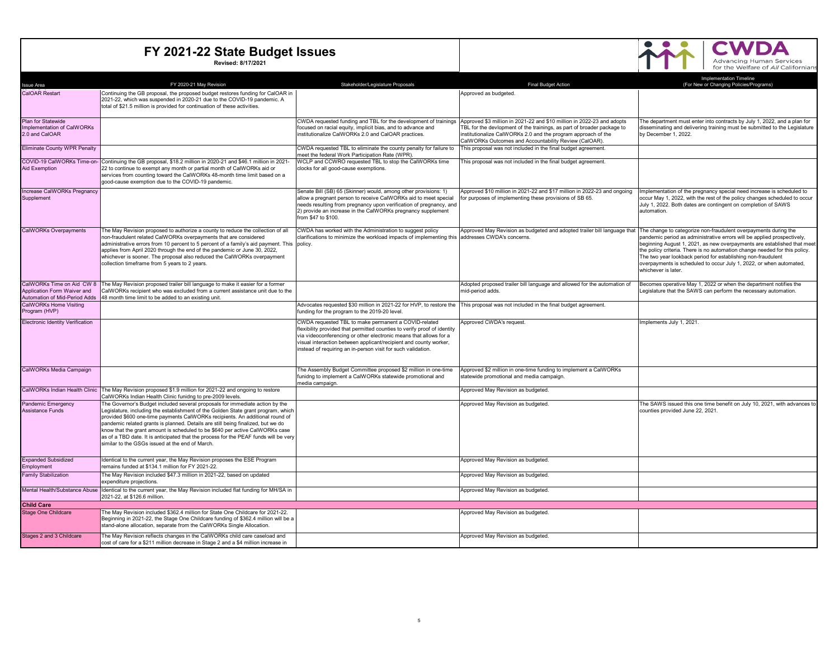S 3



| <b>Issue Area</b>                                                                         | FY 2020-21 May Revision                                                                                                                                                                                                                                                                                                                                                                                                                                                                                                                                          | Stakeholder/Legislature Proposals                                                                                                                                                                                                                                                                                                          | <b>Final Budget Action</b>                                                                                                                                                                                                                                                 | <b>Implementation Timeline</b><br>(For New or Changing Policies/Programs)                                                                                                                                                                                                                                                                                                                                                                                         |
|-------------------------------------------------------------------------------------------|------------------------------------------------------------------------------------------------------------------------------------------------------------------------------------------------------------------------------------------------------------------------------------------------------------------------------------------------------------------------------------------------------------------------------------------------------------------------------------------------------------------------------------------------------------------|--------------------------------------------------------------------------------------------------------------------------------------------------------------------------------------------------------------------------------------------------------------------------------------------------------------------------------------------|----------------------------------------------------------------------------------------------------------------------------------------------------------------------------------------------------------------------------------------------------------------------------|-------------------------------------------------------------------------------------------------------------------------------------------------------------------------------------------------------------------------------------------------------------------------------------------------------------------------------------------------------------------------------------------------------------------------------------------------------------------|
| <b>CalOAR Restart</b>                                                                     | Continuing the GB proposal, the proposed budget restores funding for CalOAR in<br>2021-22, which was suspended in 2020-21 due to the COVID-19 pandemic. A<br>total of \$21.5 million is provided for continuation of these activities.                                                                                                                                                                                                                                                                                                                           |                                                                                                                                                                                                                                                                                                                                            | Approved as budgeted.                                                                                                                                                                                                                                                      |                                                                                                                                                                                                                                                                                                                                                                                                                                                                   |
| Plan for Statewide<br>Implementation of CalWORKs<br>2.0 and CalOAR                        |                                                                                                                                                                                                                                                                                                                                                                                                                                                                                                                                                                  | CWDA requested funding and TBL for the development of trainings<br>focused on racial equity, implicit bias, and to advance and<br>institutionalize CalWORKs 2.0 and CalOAR practices.                                                                                                                                                      | Approved \$3 million in 2021-22 and \$10 million in 2022-23 and adopts<br>TBL for the devlopment of the trainings, as part of broader package to<br>institutionalize CalWORKs 2.0 and the program approach of the<br>CalWORKs Outcomes and Accountability Review (CalOAR). | The department must enter into contracts by July 1, 2022, and a plan for<br>disseminating and delivering training must be submitted to the Legislature<br>by December 1, 2022.                                                                                                                                                                                                                                                                                    |
| <b>Eliminate County WPR Penalty</b>                                                       |                                                                                                                                                                                                                                                                                                                                                                                                                                                                                                                                                                  | CWDA requested TBL to eliminate the county penalty for failure to<br>meet the federal Work Participation Rate (WPR).                                                                                                                                                                                                                       | This proposal was not included in the final budget agreement.                                                                                                                                                                                                              |                                                                                                                                                                                                                                                                                                                                                                                                                                                                   |
| <b>Aid Exemption</b>                                                                      | COVID-19 CalWORKs Time-on- Continuing the GB proposal, \$18.2 million in 2020-21 and \$46.1 million in 2021-<br>22 to continue to exempt any month or partial month of CalWORKs aid or<br>services from counting toward the CalWORKs 48-month time limit based on a<br>good-cause exemption due to the COVID-19 pandemic.                                                                                                                                                                                                                                        | WCLP and CCWRO requested TBL to stop the CalWORKs time<br>clocks for all good-cause exemptions.                                                                                                                                                                                                                                            | This proposal was not included in the final budget agreement.                                                                                                                                                                                                              |                                                                                                                                                                                                                                                                                                                                                                                                                                                                   |
| Increase CalWORKs Pregnancy<br>Supplement                                                 |                                                                                                                                                                                                                                                                                                                                                                                                                                                                                                                                                                  | Senate Bill (SB) 65 (Skinner) would, among other provisions: 1)<br>allow a pregnant person to receive CalWORKs aid to meet special<br>needs resulting from pregnancy upon verification of pregnancy, and<br>2) provide an increase in the CalWORKs pregnancy supplement<br>from \$47 to \$100.                                             | Approved \$10 million in 2021-22 and \$17 million in 2022-23 and ongoing<br>for purposes of implementing these provisions of SB 65.                                                                                                                                        | Implementation of the pregnancy special need increase is scheduled to<br>occur May 1, 2022, with the rest of the policy changes scheduled to occur<br>July 1, 2022. Both dates are contingent on completion of SAWS<br>automation.                                                                                                                                                                                                                                |
| <b>CalWORKs Overpayments</b>                                                              | The May Revision proposed to authorize a county to reduce the collection of all<br>non-fraudulent related CalWORKs overpayments that are considered<br>administrative errors from 10 percent to 5 percent of a family's aid payment. This policy.<br>applies from April 2020 through the end of the pandemic or June 30, 2022,<br>whichever is sooner. The proposal also reduced the CalWORKs overpayment<br>collection timeframe from 5 years to 2 years.                                                                                                       | CWDA has worked with the Administration to suggest policy<br>clarifications to minimize the workload impacts of implementing this                                                                                                                                                                                                          | Approved May Revision as budgeted and adopted trailer bill language that<br>addresses CWDA's concerns.                                                                                                                                                                     | The change to categorize non-fraudulent overpayments during the<br>pandemic period as administrative errors will be applied prospectively,<br>beginning August 1, 2021, as new overpayments are established that meet<br>the policy criteria. There is no automation change needed for this policy.<br>The two year lookback period for establishing non-fraudulent<br>overpayments is scheduled to occur July 1, 2022, or when automated,<br>whichever is later. |
| CalWORKs Time on Aid CW 8<br>Application Form Waiver and<br>Automation of Mid-Period Adds | The May Revision proposed trailer bill language to make it easier for a former<br>CalWORKs recipient who was excluded from a current assistance unit due to the<br>48 month time limit to be added to an existing unit.                                                                                                                                                                                                                                                                                                                                          |                                                                                                                                                                                                                                                                                                                                            | Adopted proposed trailer bill language and allowed for the automation of<br>mid-period adds.                                                                                                                                                                               | Becomes operative May 1, 2022 or when the department notifies the<br>Legislature that the SAWS can perform the necessary automation.                                                                                                                                                                                                                                                                                                                              |
| CalWORKs Home Visiting<br>Program (HVP)                                                   |                                                                                                                                                                                                                                                                                                                                                                                                                                                                                                                                                                  | Advocates requested \$30 million in 2021-22 for HVP, to restore the<br>funding for the program to the 2019-20 level                                                                                                                                                                                                                        | This proposal was not included in the final budget agreement.                                                                                                                                                                                                              |                                                                                                                                                                                                                                                                                                                                                                                                                                                                   |
| <b>Electronic Identity Verification</b>                                                   |                                                                                                                                                                                                                                                                                                                                                                                                                                                                                                                                                                  | CWDA requested TBL to make permanent a COVID-related<br>flexibility provided that permitted counties to verify proof of identity<br>via videoconferencing or other electronic means that allows for a<br>visual interaction between applicant/recipient and county worker,<br>instead of requiring an in-person visit for such validation. | Approved CWDA's request.                                                                                                                                                                                                                                                   | Implements July 1, 2021.                                                                                                                                                                                                                                                                                                                                                                                                                                          |
| CalWORKs Media Campaign                                                                   |                                                                                                                                                                                                                                                                                                                                                                                                                                                                                                                                                                  | The Assembly Budget Committee proposed \$2 million in one-time<br>funidng to implement a CalWORKs statewide promotional and<br>media campaign.                                                                                                                                                                                             | Approved \$2 million in one-time funding to implement a CalWORKs<br>statewide promotional and media campaign.                                                                                                                                                              |                                                                                                                                                                                                                                                                                                                                                                                                                                                                   |
|                                                                                           | CalWORKs Indian Health Clinic The Mav Revision proposed \$1.9 million for 2021-22 and ongoing to restore<br>CalWORKs Indian Health Clinic funidng to pre-2009 levels.                                                                                                                                                                                                                                                                                                                                                                                            |                                                                                                                                                                                                                                                                                                                                            | Approved May Revision as budgeted.                                                                                                                                                                                                                                         |                                                                                                                                                                                                                                                                                                                                                                                                                                                                   |
| Pandemic Emergency<br><b>Assistance Funds</b>                                             | The Governor's Budget included several proposals for immediate action by the<br>Legislature, including the establishment of the Golden State grant program, which<br>provided \$600 one-time payments CalWORKs recipients. An additional round of<br>pandemic related grants is planned. Details are still being finalized, but we do<br>know that the grant amount is scheduled to be \$640 per active CalWORKs case<br>as of a TBD date. It is anticipated that the process for the PEAF funds will be very<br>similar to the GSGs issued at the end of March. |                                                                                                                                                                                                                                                                                                                                            | Approved May Revision as budgeted.                                                                                                                                                                                                                                         | The SAWS issued this one time benefit on July 10, 2021, with advances to<br>counties provided June 22, 2021.                                                                                                                                                                                                                                                                                                                                                      |
| <b>Expanded Subsidized</b><br>Employment                                                  | Identical to the current year, the May Revision proposes the ESE Program<br>remains funded at \$134.1 million for FY 2021-22.                                                                                                                                                                                                                                                                                                                                                                                                                                    |                                                                                                                                                                                                                                                                                                                                            | Approved May Revision as budgeted.                                                                                                                                                                                                                                         |                                                                                                                                                                                                                                                                                                                                                                                                                                                                   |
| <b>Family Stabilization</b>                                                               | The May Revision included \$47.3 million in 2021-22, based on updated<br>expenditure projections.                                                                                                                                                                                                                                                                                                                                                                                                                                                                |                                                                                                                                                                                                                                                                                                                                            | Approved May Revision as budgeted.                                                                                                                                                                                                                                         |                                                                                                                                                                                                                                                                                                                                                                                                                                                                   |
| Mental Health/Substance Abuse                                                             | Identical to the current year, the May Revision included flat funding for MH/SA in<br>2021-22, at \$126.6 million.                                                                                                                                                                                                                                                                                                                                                                                                                                               |                                                                                                                                                                                                                                                                                                                                            | Approved May Revision as budgeted.                                                                                                                                                                                                                                         |                                                                                                                                                                                                                                                                                                                                                                                                                                                                   |
| <b>Child Care</b>                                                                         |                                                                                                                                                                                                                                                                                                                                                                                                                                                                                                                                                                  |                                                                                                                                                                                                                                                                                                                                            |                                                                                                                                                                                                                                                                            |                                                                                                                                                                                                                                                                                                                                                                                                                                                                   |
| <b>Stage One Childcare</b>                                                                | The May Revision included \$362.4 million for State One Childcare for 2021-22.<br>Beginning in 2021-22, the Stage One Childcare funding of \$362.4 million will be a<br>stand-alone allocation, separate from the CalWORKs Single Allocation.                                                                                                                                                                                                                                                                                                                    |                                                                                                                                                                                                                                                                                                                                            | Approved May Revision as budgeted.                                                                                                                                                                                                                                         |                                                                                                                                                                                                                                                                                                                                                                                                                                                                   |
| Stages 2 and 3 Childcare                                                                  | The May Revision reflects changes in the CalWORKs child care caseload and<br>cost of care for a \$211 million decrease in Stage 2 and a \$4 million increase in                                                                                                                                                                                                                                                                                                                                                                                                  |                                                                                                                                                                                                                                                                                                                                            | Approved May Revision as budgeted.                                                                                                                                                                                                                                         |                                                                                                                                                                                                                                                                                                                                                                                                                                                                   |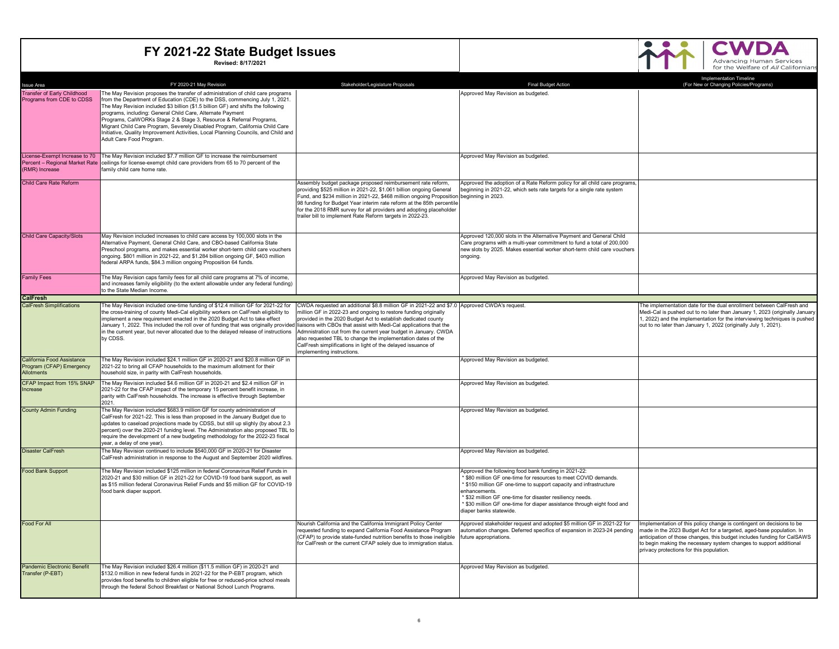

| <b>Issue Area</b>                                                                 | FY 2020-21 May Revision                                                                                                                                                                                                                                                                                                                                                                                                                                                                                                                                                                                                                                                       | Stakeholder/Legislature Proposals                                                                                                                                                                                                                                                                                                                                                                                                          | <b>Final Budget Action</b>                                                                                                                                                                                                                                                                                                                                                | Implementation Timeline<br>(For New or Changing Policies/Programs)                                                                                                                                                                                                                                                                         |
|-----------------------------------------------------------------------------------|-------------------------------------------------------------------------------------------------------------------------------------------------------------------------------------------------------------------------------------------------------------------------------------------------------------------------------------------------------------------------------------------------------------------------------------------------------------------------------------------------------------------------------------------------------------------------------------------------------------------------------------------------------------------------------|--------------------------------------------------------------------------------------------------------------------------------------------------------------------------------------------------------------------------------------------------------------------------------------------------------------------------------------------------------------------------------------------------------------------------------------------|---------------------------------------------------------------------------------------------------------------------------------------------------------------------------------------------------------------------------------------------------------------------------------------------------------------------------------------------------------------------------|--------------------------------------------------------------------------------------------------------------------------------------------------------------------------------------------------------------------------------------------------------------------------------------------------------------------------------------------|
| <b>Transfer of Early Childhood</b><br>Programs from CDE to CDSS                   | The May Revision proposes the transfer of administration of child care programs<br>from the Department of Education (CDE) to the DSS, commencing July 1, 2021.<br>The May Revision included \$3 billion (\$1.5 billion GF) and shifts the following<br>programs, including: General Child Care, Alternate Payment<br>Programs, CalWORKs Stage 2 & Stage 3, Resource & Referral Programs,<br>Migrant Child Care Program, Severely Disabled Program, California Child Care<br>Initiative, Quality Improvement Activities, Local Planning Councils, and Child and<br>Adult Care Food Program.                                                                                    |                                                                                                                                                                                                                                                                                                                                                                                                                                            | Approved May Revision as budgeted.                                                                                                                                                                                                                                                                                                                                        |                                                                                                                                                                                                                                                                                                                                            |
| License-Exempt Increase to 70<br>Percent - Regional Market Rate<br>(RMR) Increase | The May Revision included \$7.7 million GF to increase the reimbursement<br>ceilings for license-exempt child care providers from 65 to 70 percent of the<br>family child care home rate.                                                                                                                                                                                                                                                                                                                                                                                                                                                                                     |                                                                                                                                                                                                                                                                                                                                                                                                                                            | Approved May Revision as budgeted.                                                                                                                                                                                                                                                                                                                                        |                                                                                                                                                                                                                                                                                                                                            |
| <b>Child Care Rate Reform</b>                                                     |                                                                                                                                                                                                                                                                                                                                                                                                                                                                                                                                                                                                                                                                               | Assembly budget package proposed reimbursement rate reform,<br>providing \$525 million in 2021-22, \$1.061 billion ongoing General<br>Fund, and \$234 million in 2021-22, \$468 million ongoing Proposition beginning in 2023.<br>98 funding for Budget Year interim rate reform at the 85th percentile<br>for the 2018 RMR survey for all providers and adopting placeholder<br>trailer bill to implement Rate Reform targets in 2022-23. | Approved the adoption of a Rate Reform policy for all child care programs,<br>beginning in 2021-22, which sets rate targets for a single rate system                                                                                                                                                                                                                      |                                                                                                                                                                                                                                                                                                                                            |
| <b>Child Care Capacity/Slots</b>                                                  | May Revision included increases to child care access by 100,000 slots in the<br>Alternative Payment, General Child Care, and CBO-based California State<br>Preschool programs, and makes essential worker short-term child care vouchers<br>ongoing. \$801 million in 2021-22, and \$1.284 billion ongoing GF, \$403 million<br>federal ARPA funds, \$84.3 million ongoing Proposition 64 funds.                                                                                                                                                                                                                                                                              |                                                                                                                                                                                                                                                                                                                                                                                                                                            | Approved 120,000 slots in the Alternative Payment and General Child<br>Care programs with a multi-year commitment to fund a total of 200,000<br>new slots by 2025. Makes essential worker short-term child care vouchers<br>ongoing.                                                                                                                                      |                                                                                                                                                                                                                                                                                                                                            |
| <b>Family Fees</b>                                                                | The May Revision caps family fees for all child care programs at 7% of income,<br>and increases family eligibility (to the extent allowable under any federal funding)<br>to the State Median Income.                                                                                                                                                                                                                                                                                                                                                                                                                                                                         |                                                                                                                                                                                                                                                                                                                                                                                                                                            | Approved May Revision as budgeted.                                                                                                                                                                                                                                                                                                                                        |                                                                                                                                                                                                                                                                                                                                            |
| <b>CalFresh</b>                                                                   |                                                                                                                                                                                                                                                                                                                                                                                                                                                                                                                                                                                                                                                                               |                                                                                                                                                                                                                                                                                                                                                                                                                                            |                                                                                                                                                                                                                                                                                                                                                                           |                                                                                                                                                                                                                                                                                                                                            |
| <b>CalFresh Simplifications</b>                                                   | The May Revision included one-time funding of \$12.4 million GF for 2021-22 for CWDA requested an additional \$8.8 million GF in 2021-22 and \$7.0 Approved CWDA's request<br>the cross-training of county Medi-Cal eligibility workers on CalFresh eligibility to<br>implement a new requirement enacted in the 2020 Budget Act to take effect<br>January 1, 2022. This included the roll over of funding that was originally provided liaisons with CBOs that assist with Medi-Cal applications that the<br>in the current year, but never allocated due to the delayed release of instructions Admnistration cut from the current year budget in January. CWDA<br>by CDSS. | million GF in 2022-23 and ongoing to restore funding originally<br>provided in the 2020 Budget Act to establish dedicated county<br>also requested TBL to change the implementation dates of the<br>CalFresh simplifications in light of the delayed issuance of<br>implementing instructions.                                                                                                                                             |                                                                                                                                                                                                                                                                                                                                                                           | The implementation date for the dual enrollment between CalFresh and<br>Medi-Cal is pushed out to no later than January 1, 2023 (originally January<br>1, 2022) and the implementation for the interviewing techniques is pushed<br>out to no later than January 1, 2022 (originally July 1, 2021).                                        |
| California Food Assistance<br>Program (CFAP) Emergency<br>Allotments              | The May Revision included \$24.1 million GF in 2020-21 and \$20.8 million GF in<br>2021-22 to bring all CFAP households to the maximum allotment for their<br>household size, in parity with CalFresh households.                                                                                                                                                                                                                                                                                                                                                                                                                                                             |                                                                                                                                                                                                                                                                                                                                                                                                                                            | Approved May Revision as budgeted.                                                                                                                                                                                                                                                                                                                                        |                                                                                                                                                                                                                                                                                                                                            |
| CFAP Impact from 15% SNAP<br>Increase                                             | The May Revision included \$4.6 million GF in 2020-21 and \$2.4 million GF in<br>2021-22 for the CFAP impact of the temporary 15 percent benefit increase, in<br>parity with CalFresh households. The increase is effective through September<br>2021.                                                                                                                                                                                                                                                                                                                                                                                                                        |                                                                                                                                                                                                                                                                                                                                                                                                                                            | Approved May Revision as budgeted.                                                                                                                                                                                                                                                                                                                                        |                                                                                                                                                                                                                                                                                                                                            |
| <b>County Admin Funding</b>                                                       | The May Revision included \$683.9 million GF for county administration of<br>CalFresh for 2021-22. This is less than proposed in the January Budget due to<br>updates to caseload projections made by CDSS, but still up slighly (by about 2.3<br>percent) over the 2020-21 funidng level. The Administration also proposed TBL to<br>require the development of a new budgeting methodology for the 2022-23 fiscal<br>year, a delay of one year).                                                                                                                                                                                                                            |                                                                                                                                                                                                                                                                                                                                                                                                                                            | Approved May Revision as budgeted.                                                                                                                                                                                                                                                                                                                                        |                                                                                                                                                                                                                                                                                                                                            |
| <b>Disaster CalFresh</b>                                                          | The May Revision continued to include \$540,000 GF in 2020-21 for Disaster<br>CalFresh administration in response to the August and September 2020 wildfires.                                                                                                                                                                                                                                                                                                                                                                                                                                                                                                                 |                                                                                                                                                                                                                                                                                                                                                                                                                                            | Approved May Revision as budgeted.                                                                                                                                                                                                                                                                                                                                        |                                                                                                                                                                                                                                                                                                                                            |
| <b>Food Bank Support</b>                                                          | The May Revision included \$125 million in federal Coronavirus Relief Funds in<br>2020-21 and \$30 million GF in 2021-22 for COVID-19 food bank support, as well<br>as \$15 million federal Coronavirus Relief Funds and \$5 million GF for COVID-19<br>food bank diaper support.                                                                                                                                                                                                                                                                                                                                                                                             |                                                                                                                                                                                                                                                                                                                                                                                                                                            | Approved the following food bank funding in 2021-22:<br>\$80 million GF one-time for resources to meet COVID demands.<br>\$150 million GF one-time to support capacity and infrastructure<br>enhancements.<br>\$32 million GF one-time for disaster resiliency needs<br>* \$30 million GF one-time for diaper assistance through eight food and<br>diaper banks statewide |                                                                                                                                                                                                                                                                                                                                            |
| <b>Food For All</b>                                                               |                                                                                                                                                                                                                                                                                                                                                                                                                                                                                                                                                                                                                                                                               | Nourish California and the California Immigrant Policy Center<br>requested funding to expand California Food Assistance Program<br>(CFAP) to provide state-funded nutrition benefits to those ineligible<br>for CalFresh or the current CFAP solely due to immigration status.                                                                                                                                                             | Approved stakeholder request and adopted \$5 million GF in 2021-22 for<br>automation changes. Deferred specifics of expansion in 2023-24 pending<br>future appropriations.                                                                                                                                                                                                | Implementation of this policy change is contingent on decisions to be<br>made in the 2023 Budget Act for a targeted, aged-base population. In<br>anticipation of those changes, this budget includes funding for CaISAWS<br>to begin making the necessary system changes to support additional<br>privacy protections for this population. |
| Pandemic Electronic Benefit<br>Transfer (P-EBT)                                   | The May Revision included \$26.4 million (\$11.5 million GF) in 2020-21 and<br>\$132.0 million in new federal funds in 2021-22 for the P-EBT program, which<br>provides food benefits to children eligible for free or reduced-price school meals<br>through the federal School Breakfast or National School Lunch Programs.                                                                                                                                                                                                                                                                                                                                                  |                                                                                                                                                                                                                                                                                                                                                                                                                                            | Approved May Revision as budgeted.                                                                                                                                                                                                                                                                                                                                        |                                                                                                                                                                                                                                                                                                                                            |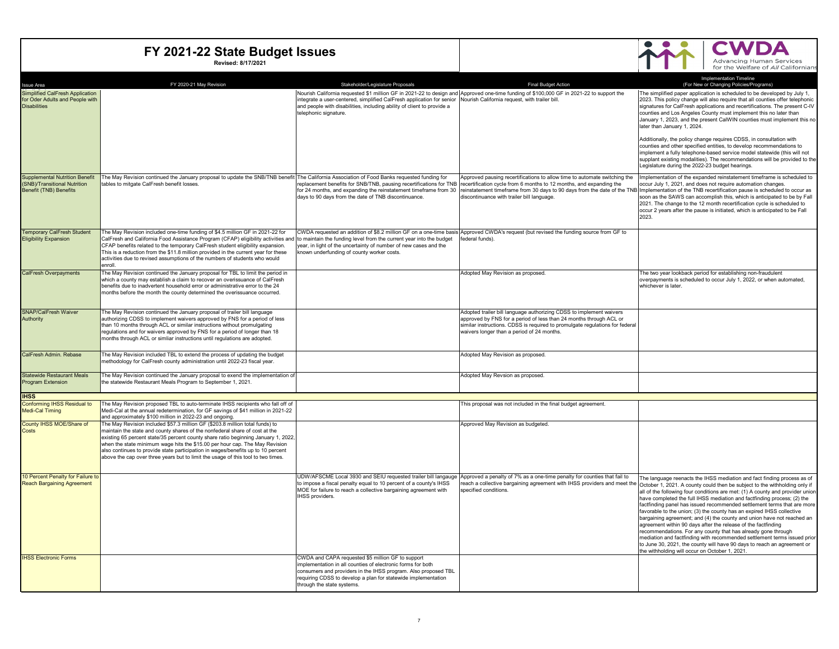

| <b>Issue Area</b>                                                                                      | FY 2020-21 May Revision                                                                                                                                                                                                                                                                                                                                                                                                                                                                                  | Stakeholder/Legislature Proposals                                                                                                                                                                                                                                                 | <b>Final Budget Action</b>                                                                                                                                                                                                                                                 | <b>Implementation Timeline</b><br>(For New or Changing Policies/Programs)                                                                                                                                                                                                                                                                                                                                                                                                                                                                                                                                                                                                                                                                                                                                                                                                                                                                                           |
|--------------------------------------------------------------------------------------------------------|----------------------------------------------------------------------------------------------------------------------------------------------------------------------------------------------------------------------------------------------------------------------------------------------------------------------------------------------------------------------------------------------------------------------------------------------------------------------------------------------------------|-----------------------------------------------------------------------------------------------------------------------------------------------------------------------------------------------------------------------------------------------------------------------------------|----------------------------------------------------------------------------------------------------------------------------------------------------------------------------------------------------------------------------------------------------------------------------|---------------------------------------------------------------------------------------------------------------------------------------------------------------------------------------------------------------------------------------------------------------------------------------------------------------------------------------------------------------------------------------------------------------------------------------------------------------------------------------------------------------------------------------------------------------------------------------------------------------------------------------------------------------------------------------------------------------------------------------------------------------------------------------------------------------------------------------------------------------------------------------------------------------------------------------------------------------------|
| Simplified CalFresh Application<br>for Oder Adults and People with<br><b>Disabilities</b>              |                                                                                                                                                                                                                                                                                                                                                                                                                                                                                                          | ntegrate a user-centered, simplified CalFresh application for senior Nourish California request, with trailer bill.<br>and people with disabilities, including ability of client to provide a<br>telephonic signature.                                                            | Nourish California requested \$1 million GF in 2021-22 to design and Approved one-time funding of \$100,000 GF in 2021-22 to support the                                                                                                                                   | The simplified paper application is scheduled to be developed by July 1,<br>2023. This policy change will also require that all counties offer telephonic<br>signatures for CalFresh applications and recertifications. The present C-IV<br>counties and Los Angeles County must implement this no later than<br>January 1, 2023, and the present CalWIN counties must implement this no<br>later than January 1, 2024.<br>Additionally, the policy change requires CDSS, in consultation with<br>counties and other specified entities, to develop recommendations to<br>implement a fully telephone-based service model statewide (this will not                                                                                                                                                                                                                                                                                                                  |
|                                                                                                        |                                                                                                                                                                                                                                                                                                                                                                                                                                                                                                          |                                                                                                                                                                                                                                                                                   |                                                                                                                                                                                                                                                                            | supplant existing modalities). The recommendations will be provided to the<br>Legislature during the 2022-23 budget hearings.                                                                                                                                                                                                                                                                                                                                                                                                                                                                                                                                                                                                                                                                                                                                                                                                                                       |
| <b>Supplemental Nutrition Benefit</b><br>(SNB)/Transitional Nutrition<br><b>Benefit (TNB) Benefits</b> | The May Revision continued the January proposal to update the SNB/TNB benefit The California Association of Food Banks requested funding for<br>tables to mitgate CalFresh benefit losses.                                                                                                                                                                                                                                                                                                               | eplacement benefits for SNB/TNB, pausing recertifications for TNB<br>for 24 months, and expanding the reinstatement timeframe from 30<br>days to 90 days from the date of TNB discontinuance.                                                                                     | Approved pausing recertifications to allow time to automate switching the<br>recertification cycle from 6 months to 12 months, and expanding the<br>reinstatement timeframe from 30 days to 90 days from the date of the TNB<br>discontinuance with trailer bill language. | Implementation of the expanded reinstatement timeframe is scheduled to<br>occur July 1, 2021, and does not require automation changes.<br>Implementation of the TNB recertification pause is scheduled to occur as<br>soon as the SAWS can accomplish this, which is anticipated to be by Fall<br>2021. The change to the 12 month recertification cycle is scheduled to<br>occur 2 years after the pause is initiated, which is anticipated to be Fall<br>2023.                                                                                                                                                                                                                                                                                                                                                                                                                                                                                                    |
| <b>Temporary CalFresh Student</b><br><b>Eligibility Expansion</b>                                      | The May Revision included one-time funding of \$4.5 million GF in 2021-22 for<br>CalFresh and California Food Assistance Program (CFAP) eligibility activities and to maintain the funding level from the current year into the budget<br>CFAP benefits related to the temporary CalFresh student eligibility expansion.<br>This is a reduction from the \$11.8 million provided in the current year for these<br>activities due to revised assumptions of the numbers of students who would<br>enroll.  | vear, in light of the uncertainty of number of new cases and the<br>known underfunding of county worker costs.                                                                                                                                                                    | CWDA requested an addition of \$8.2 million GF on a one-time basis Approved CWDA's request (but revised the funding source from GF to<br>federal funds).                                                                                                                   |                                                                                                                                                                                                                                                                                                                                                                                                                                                                                                                                                                                                                                                                                                                                                                                                                                                                                                                                                                     |
| <b>CalFresh Overpayments</b>                                                                           | The May Revision continued the January proposal for TBL to limit the period in<br>which a county may establish a claim to recover an overissuance of CalFresh<br>benefits due to inadvertent household error or administrative error to the 24<br>months before the month the county determined the overissuance occurred.                                                                                                                                                                               |                                                                                                                                                                                                                                                                                   | Adopted May Revision as proposed.                                                                                                                                                                                                                                          | The two year lookback period for establishing non-fraudulent<br>overpayments is scheduled to occur July 1, 2022, or when automated,<br>whichever is later.                                                                                                                                                                                                                                                                                                                                                                                                                                                                                                                                                                                                                                                                                                                                                                                                          |
| <b>SNAP/CalFresh Waiver</b><br>Authority                                                               | The May Revision continued the January proposal of trailer bill language<br>authorizing CDSS to implement waivers approved by FNS for a period of less<br>than 10 months through ACL or similar instructions without promulgating<br>regulations and for waivers approved by FNS for a period of longer than 18<br>months through ACL or simliar instructions until regulations are adopted.                                                                                                             |                                                                                                                                                                                                                                                                                   | Adopted trailer bill language authorizing CDSS to implement waivers<br>approved by FNS for a period of less than 24 months through ACL or<br>similar instructions. CDSS is required to promulgate regulations for federal<br>waivers longer than a period of 24 months.    |                                                                                                                                                                                                                                                                                                                                                                                                                                                                                                                                                                                                                                                                                                                                                                                                                                                                                                                                                                     |
| CalFresh Admin, Rebase                                                                                 | The May Revision included TBL to extend the process of updating the budget<br>methodology for CalFresh county administration until 2022-23 fiscal year.                                                                                                                                                                                                                                                                                                                                                  |                                                                                                                                                                                                                                                                                   | Adopted May Revision as proposed.                                                                                                                                                                                                                                          |                                                                                                                                                                                                                                                                                                                                                                                                                                                                                                                                                                                                                                                                                                                                                                                                                                                                                                                                                                     |
| <b>Statewide Restaurant Meals</b><br><b>Program Extension</b>                                          | The May Revision continued the January proposal to exend the implementation of<br>the statewide Restaurant Meals Program to September 1, 2021.                                                                                                                                                                                                                                                                                                                                                           |                                                                                                                                                                                                                                                                                   | Adopted May Revsion as proposed.                                                                                                                                                                                                                                           |                                                                                                                                                                                                                                                                                                                                                                                                                                                                                                                                                                                                                                                                                                                                                                                                                                                                                                                                                                     |
| <b>IHSS</b>                                                                                            |                                                                                                                                                                                                                                                                                                                                                                                                                                                                                                          |                                                                                                                                                                                                                                                                                   |                                                                                                                                                                                                                                                                            |                                                                                                                                                                                                                                                                                                                                                                                                                                                                                                                                                                                                                                                                                                                                                                                                                                                                                                                                                                     |
| <b>Conforming IHSS Residual to</b><br>Medi-Cal Timing                                                  | The May Revision proposed TBL to auto-terminate IHSS recipients who fall off of<br>Medi-Cal at the annual redetermination, for GF savings of \$41 million in 2021-22<br>and approximately \$100 million in 2022-23 and ongoing.                                                                                                                                                                                                                                                                          |                                                                                                                                                                                                                                                                                   | This proposal was not included in the final budget agreement.                                                                                                                                                                                                              |                                                                                                                                                                                                                                                                                                                                                                                                                                                                                                                                                                                                                                                                                                                                                                                                                                                                                                                                                                     |
| County IHSS MOE/Share of<br>Costs                                                                      | The May Revision included \$57.3 million GF (\$203.8 million total funds) to<br>maintain the state and county shares of the nonfederal share of cost at the<br>existing 65 percent state/35 percent county share ratio beginning January 1, 2022,<br>when the state minimum wage hits the \$15.00 per hour cap. The May Revision<br>also continues to provide state participation in wages/benefits up to 10 percent<br>above the cap over three years but to limit the usage of this tool to two times. |                                                                                                                                                                                                                                                                                   | Approved May Revision as budgeted.                                                                                                                                                                                                                                         |                                                                                                                                                                                                                                                                                                                                                                                                                                                                                                                                                                                                                                                                                                                                                                                                                                                                                                                                                                     |
| 10 Percent Penalty for Failure t<br><b>Reach Bargaining Agreement</b>                                  |                                                                                                                                                                                                                                                                                                                                                                                                                                                                                                          | to impose a fiscal penalty equal to 10 percent of a county's IHSS<br>MOE for failure to reach a collective bargaining agreement with<br><b>IHSS</b> providers                                                                                                                     | UDW/AFSCME Local 3930 and SEIU requested trailer bill langauge Approved a penalty of 7% as a one-time penalty for counties that fail to<br>specified conditions.                                                                                                           | The language reenacts the IHSS mediation and fact finding process as of<br>reach a collective bargaining agreement with IHSS providers and meet the October 1, 2021. A county could then be subject to the withholding only if<br>all of the following four conditions are met: (1) A county and provider union<br>have completed the full IHSS mediation and factfinding process; (2) the<br>factfinding panel has issued recommended settlement terms that are more<br>favorable to the union; (3) the county has an expired IHSS collective<br>bargaining agreement; and (4) the county and union have not reached an<br>agreement within 90 days after the release of the factfinding<br>recommendations. For any county that has already gone through<br>mediation and factfinding with recommended settlement terms issued prior<br>to June 30, 2021, the county will have 90 days to reach an agreement or<br>the withholding will occur on October 1, 2021. |
| <b>IHSS Electronic Forms</b>                                                                           |                                                                                                                                                                                                                                                                                                                                                                                                                                                                                                          | CWDA and CAPA requested \$5 million GF to support<br>implementation in all counties of electronic forms for both<br>consumers and providers in the IHSS program. Also proposed TBL<br>requiring CDSS to develop a plan for statewide implementation<br>through the state systems. |                                                                                                                                                                                                                                                                            |                                                                                                                                                                                                                                                                                                                                                                                                                                                                                                                                                                                                                                                                                                                                                                                                                                                                                                                                                                     |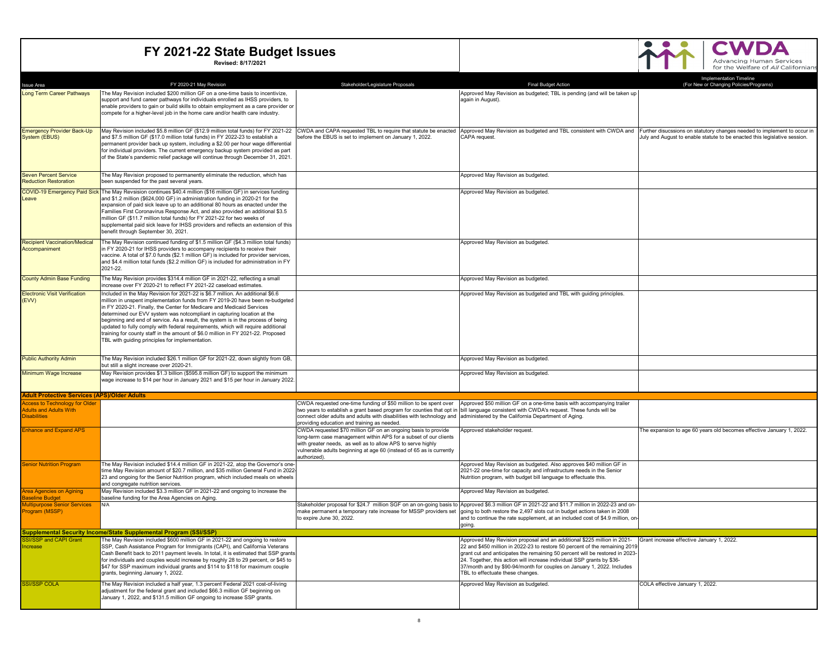#### **CWDA**  $\bullet\bullet$  $\bullet$ Advancing Human Services<br>for the Welfare of All Californians

|                                                                                              | FY 2020-21 May Revision                                                                                                                                                   | Stakeholder/Legislature Proposals                                                                                                       | <b>Final Budget Action</b>                                                                                                                                                                                                  | Implementation Timeline<br>(For New or Changing Policies/Programs)        |
|----------------------------------------------------------------------------------------------|---------------------------------------------------------------------------------------------------------------------------------------------------------------------------|-----------------------------------------------------------------------------------------------------------------------------------------|-----------------------------------------------------------------------------------------------------------------------------------------------------------------------------------------------------------------------------|---------------------------------------------------------------------------|
| <b>Issue Area</b><br>Long Term Career Pathways                                               | The May Revision included \$200 million GF on a one-time basis to incentivize,                                                                                            |                                                                                                                                         | Approved May Revision as budgeted; TBL is pending (and will be taken up                                                                                                                                                     |                                                                           |
|                                                                                              | support and fund career pathways for individuals enrolled as IHSS providers, to                                                                                           |                                                                                                                                         | again in August).                                                                                                                                                                                                           |                                                                           |
|                                                                                              | enable providers to gain or build skills to obtain employment as a care provider or<br>compete for a higher-level job in the home care and/or health care industry.       |                                                                                                                                         |                                                                                                                                                                                                                             |                                                                           |
|                                                                                              |                                                                                                                                                                           |                                                                                                                                         |                                                                                                                                                                                                                             |                                                                           |
| <b>Emergency Provider Back-Up</b>                                                            | May Revision included \$5.8 million GF (\$12.9 million total funds) for FY 2021-22 CWDA and CAPA requested TBL to require that statute be enacted                         |                                                                                                                                         | Approved May Revision as budgeted and TBL consistent with CWDA and Further disucssions on statutory changes needed to implement to occur in                                                                                 |                                                                           |
| System (EBUS)                                                                                | and \$7.5 million GF (\$17.0 million total funds) in FY 2022-23 to establish a                                                                                            | before the EBUS is set to implement on January 1, 2022.                                                                                 | <b>CAPA</b> request                                                                                                                                                                                                         | July and August to enable statute to be enacted this legislative session. |
|                                                                                              | permanent provider back up system, including a \$2.00 per hour wage differential<br>for individual providers. The current emergency backup system provided as part        |                                                                                                                                         |                                                                                                                                                                                                                             |                                                                           |
|                                                                                              | of the State's pandemic relief package will continue through December 31, 2021.                                                                                           |                                                                                                                                         |                                                                                                                                                                                                                             |                                                                           |
|                                                                                              |                                                                                                                                                                           |                                                                                                                                         |                                                                                                                                                                                                                             |                                                                           |
| <b>Seven Percent Service</b><br><b>Reduction Restoration</b>                                 | The May Revision proposed to permanently eliminate the reduction, which has<br>been suspended for the past several years.                                                 |                                                                                                                                         | Approved May Revision as budgeted.                                                                                                                                                                                          |                                                                           |
|                                                                                              | COVID-19 Emergency Paid Sick The May Revsision continues \$40.4 million (\$16 million GF) in services funding                                                             |                                                                                                                                         | Approved May Revision as budgeted.                                                                                                                                                                                          |                                                                           |
| Leave                                                                                        | and \$1.2 million (\$624,000 GF) in administration funding in 2020-21 for the                                                                                             |                                                                                                                                         |                                                                                                                                                                                                                             |                                                                           |
|                                                                                              | expansion of paid sick leave up to an additional 80 hours as enacted under the<br>Families First Coronavirus Response Act, and also provided an additional \$3.5          |                                                                                                                                         |                                                                                                                                                                                                                             |                                                                           |
|                                                                                              | million GF (\$11.7 million total funds) for FY 2021-22 for two weeks of                                                                                                   |                                                                                                                                         |                                                                                                                                                                                                                             |                                                                           |
|                                                                                              | supplemental paid sick leave for IHSS providers and reflects an extension of this<br>benefit through September 30, 2021.                                                  |                                                                                                                                         |                                                                                                                                                                                                                             |                                                                           |
|                                                                                              |                                                                                                                                                                           |                                                                                                                                         |                                                                                                                                                                                                                             |                                                                           |
| <b>Recipient Vaccination/Medical</b><br>Accompaniment                                        | The May Revision continued funding of \$1.5 million GF (\$4.3 million total funds)<br>in FY 2020-21 for IHSS providers to accompany recipients to receive their           |                                                                                                                                         | Approved May Revision as budgeted.                                                                                                                                                                                          |                                                                           |
|                                                                                              | vaccine. A total of \$7.0 funds (\$2.1 million GF) is included for provider services.                                                                                     |                                                                                                                                         |                                                                                                                                                                                                                             |                                                                           |
|                                                                                              | and \$4.4 million total funds (\$2.2 million GF) is included for administration in FY<br>2021-22.                                                                         |                                                                                                                                         |                                                                                                                                                                                                                             |                                                                           |
| <b>County Admin Base Funding</b>                                                             | The May Revision provides \$314.4 million GF in 2021-22, reflecting a small                                                                                               |                                                                                                                                         | Approved May Revision as budgeted.                                                                                                                                                                                          |                                                                           |
|                                                                                              | increase over FY 2020-21 to reflect FY 2021-22 caseload estimates.                                                                                                        |                                                                                                                                         |                                                                                                                                                                                                                             |                                                                           |
| <b>Electronic Visit Verification</b><br>(EVV)                                                | Included in the May Revision for 2021-22 is \$6.7 million. An additional \$6.6<br>million in unspent implementation funds from FY 2019-20 have been re-budgeted           |                                                                                                                                         | Approved May Revision as budgeted and TBL with guiding principles.                                                                                                                                                          |                                                                           |
|                                                                                              | in FY 2020-21. Finally, the Center for Medicare and Medicaid Services                                                                                                     |                                                                                                                                         |                                                                                                                                                                                                                             |                                                                           |
|                                                                                              | determined our EVV system was notcompliant in capturing location at the<br>beginning and end of service. As a result, the system is in the process of being               |                                                                                                                                         |                                                                                                                                                                                                                             |                                                                           |
|                                                                                              | updated to fully comply with federal requirements, which will require additional                                                                                          |                                                                                                                                         |                                                                                                                                                                                                                             |                                                                           |
|                                                                                              | training for county staff in the amount of \$6.0 million in FY 2021-22. Proposed<br>TBL with guiding principles for implementation.                                       |                                                                                                                                         |                                                                                                                                                                                                                             |                                                                           |
|                                                                                              |                                                                                                                                                                           |                                                                                                                                         |                                                                                                                                                                                                                             |                                                                           |
| <b>Public Authority Admin</b>                                                                | The May Revision included \$26.1 million GF for 2021-22, down slightly from GB,                                                                                           |                                                                                                                                         | Approved May Revision as budgeted.                                                                                                                                                                                          |                                                                           |
|                                                                                              | out still a slight increase over 2020-21.                                                                                                                                 |                                                                                                                                         |                                                                                                                                                                                                                             |                                                                           |
| Minimum Wage Increase                                                                        | May Revision provides \$1.3 billion (\$595.8 million GF) to support the minimum<br>wage increase to \$14 per hour in January 2021 and \$15 per hour in January 2022.      |                                                                                                                                         | Approved May Revision as budgeted.                                                                                                                                                                                          |                                                                           |
|                                                                                              |                                                                                                                                                                           |                                                                                                                                         |                                                                                                                                                                                                                             |                                                                           |
| <b>Adult Protective Services (APS)/Older Adults</b><br><b>Access to Technology for Older</b> |                                                                                                                                                                           | CWDA requested one-time funding of \$50 million to be spent over                                                                        | Approved \$50 million GF on a one-time basis with accompanying trailer                                                                                                                                                      |                                                                           |
| <b>Adults and Adults With</b>                                                                |                                                                                                                                                                           | two years to establish a grant based program for counties that opt in bill language consistent with CWDA's request. These funds will be |                                                                                                                                                                                                                             |                                                                           |
| <b>Disabilities</b>                                                                          |                                                                                                                                                                           | connect older adults and adults with disabilities with technology and administered by the California Department of Aging.               |                                                                                                                                                                                                                             |                                                                           |
| <b>Enhance and Expand APS</b>                                                                |                                                                                                                                                                           | providing education and training as needed.<br>CWDA requested \$70 million GF on an ongoing basis to provide                            | Approved stakeholder request.                                                                                                                                                                                               | The expansion to age 60 years old becomes effective January 1, 2022.      |
|                                                                                              |                                                                                                                                                                           | long-term case management within APS for a subset of our clients                                                                        |                                                                                                                                                                                                                             |                                                                           |
|                                                                                              |                                                                                                                                                                           | with greater needs, as well as to allow APS to serve highly<br>vulnerable adults beginning at age 60 (instead of 65 as is currently     |                                                                                                                                                                                                                             |                                                                           |
|                                                                                              |                                                                                                                                                                           | authorized).                                                                                                                            |                                                                                                                                                                                                                             |                                                                           |
| <b>Senior Nutrition Program</b>                                                              | The May Revision included \$14.4 million GF in 2021-22, atop the Governor's one-<br>time May Revision amount of \$20.7 million, and \$35 million General Fund in 2022-    |                                                                                                                                         | Approved May Revision as budgeted. Also approves \$40 million GF in<br>2021-22 one-time for capacity and infrastructure needs in the Senior                                                                                 |                                                                           |
|                                                                                              | 23 and ongoing for the Senior Nutrition program, which included meals on wheels                                                                                           |                                                                                                                                         | Nutrition program, with budget bill language to effectuate this.                                                                                                                                                            |                                                                           |
| <b>Area Agencies on Agining</b>                                                              | and congregate nutrition services.<br>May Revision included \$3.3 million GF in 2021-22 and ongoing to increase the                                                       |                                                                                                                                         | Approved May Revision as budgeted.                                                                                                                                                                                          |                                                                           |
| Baseline Budget                                                                              | baseline funding for the Area Agencies on Aging.                                                                                                                          |                                                                                                                                         |                                                                                                                                                                                                                             |                                                                           |
| Multipurpose Senior Services<br>Program (MSSP)                                               | N/A                                                                                                                                                                       | make permanent a temporary rate increase for MSSP providers set                                                                         | Stakeholder proposal for \$24.7 million SGF on an on-going basis to Approved \$6.3 million GF in 2021-22 and \$11.7 million in 2022-23 and on-<br>going to both restore the 2,497 slots cut in budget actions taken in 2008 |                                                                           |
|                                                                                              |                                                                                                                                                                           | to expire June 30, 2022.                                                                                                                | and to continue the rate supplement, at an included cost of \$4.9 million, on                                                                                                                                               |                                                                           |
|                                                                                              | upplemental Security Income/State Supplemental Program (SSI/SSP                                                                                                           |                                                                                                                                         | aoina                                                                                                                                                                                                                       |                                                                           |
| <b>SI/SSP and CAPI Grant</b>                                                                 | The May Revision included \$600 million GF in 2021-22 and ongoing to restore                                                                                              |                                                                                                                                         | Approved May Revision proposal and an additional \$225 million in 2021- Grant increase effective January 1, 2022.                                                                                                           |                                                                           |
| ncrease                                                                                      | SSP, Cash Assistance Program for Immigrants (CAPI), and California Veterans                                                                                               |                                                                                                                                         | 22 and \$450 million in 2022-23 to restore 50 percent of the remaining 2019                                                                                                                                                 |                                                                           |
|                                                                                              | Cash Benefit back to 2011 payment levels. In total, it is estimated that SSP grants<br>for individuals and couples would increase by roughly 28 to 29 percent, or \$45 to |                                                                                                                                         | grant cut and anticipates the remaining 50 percent will be restored in 2023-<br>24. Together, this action will increase individual SSP grants by \$36-                                                                      |                                                                           |
|                                                                                              | \$47 for SSP maximum individual grants and \$114 to \$118 for maximum couple                                                                                              |                                                                                                                                         | 37/month and by \$90-94/month for couples on January 1, 2022. Includes                                                                                                                                                      |                                                                           |
|                                                                                              | grants, beginning January 1, 2022.                                                                                                                                        |                                                                                                                                         | TBL to effectuate these changes.                                                                                                                                                                                            |                                                                           |
| <b>SSI/SSP COLA</b>                                                                          | The May Revision included a half year, 1.3 percent Federal 2021 cost-of-living<br>adjustment for the federal grant and included \$66.3 million GF beginning on            |                                                                                                                                         | Approved May Revision as budgeted.                                                                                                                                                                                          | COLA effective January 1, 2022.                                           |
|                                                                                              | January 1, 2022, and \$131.5 million GF ongoing to increase SSP grants.                                                                                                   |                                                                                                                                         |                                                                                                                                                                                                                             |                                                                           |
|                                                                                              |                                                                                                                                                                           |                                                                                                                                         |                                                                                                                                                                                                                             |                                                                           |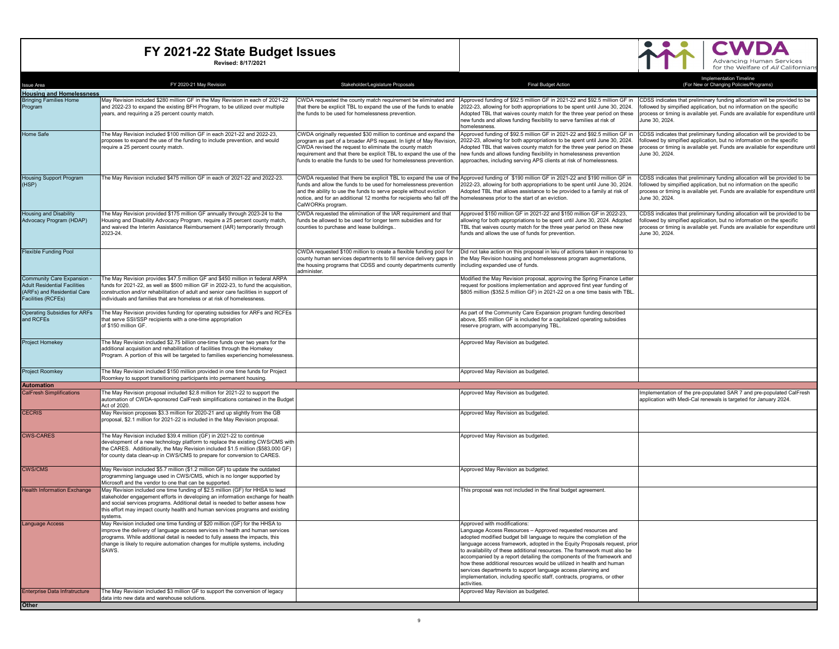

| <b>Issue Area</b>                                                                                                      | FY 2020-21 May Revision                                                                                                                                                                                                                                                                                                                         | Stakeholder/Legislature Proposals                                                                                                                                                                                                                                                                                                              | <b>Final Budget Action</b>                                                                                                                                                                                                                                                                                                                                                                                                                                                                                                                                                                                                                  | Implementation Timeline<br>(For New or Changing Policies/Programs)                                                                                                                                                                                    |
|------------------------------------------------------------------------------------------------------------------------|-------------------------------------------------------------------------------------------------------------------------------------------------------------------------------------------------------------------------------------------------------------------------------------------------------------------------------------------------|------------------------------------------------------------------------------------------------------------------------------------------------------------------------------------------------------------------------------------------------------------------------------------------------------------------------------------------------|---------------------------------------------------------------------------------------------------------------------------------------------------------------------------------------------------------------------------------------------------------------------------------------------------------------------------------------------------------------------------------------------------------------------------------------------------------------------------------------------------------------------------------------------------------------------------------------------------------------------------------------------|-------------------------------------------------------------------------------------------------------------------------------------------------------------------------------------------------------------------------------------------------------|
| <b>Housing and Homelessness</b>                                                                                        |                                                                                                                                                                                                                                                                                                                                                 |                                                                                                                                                                                                                                                                                                                                                |                                                                                                                                                                                                                                                                                                                                                                                                                                                                                                                                                                                                                                             |                                                                                                                                                                                                                                                       |
| <b>Bringing Families Home</b><br>Program                                                                               | May Revision included \$280 million GF in the May Revision in each of 2021-22<br>and 2022-23 to expand the existing BFH Program, to be utilized over multiple<br>years, and requiring a 25 percent county match.                                                                                                                                | CWDA requested the county match requirement be eliminated and<br>that there be explicit TBL to expand the use of the funds to enable<br>the funds to be used for homelessness prevention.                                                                                                                                                      | Approved funding of \$92.5 million GF in 2021-22 and \$92.5 million GF in<br>2022-23, allowing for both appropriations to be spent until June 30, 2024.<br>Adopted TBL that waives county match for the three year period on these<br>new funds and allows funding flexibility to serve families at risk of<br>homelessness                                                                                                                                                                                                                                                                                                                 | CDSS indicates that preliminary funding allocation will be provided to be<br>ollowed by simpified application, but no information on the specific<br>process or timing is available yet. Funds are available for expenditure until<br>June 30, 2024.  |
| <b>Home Safe</b>                                                                                                       | The May Revision included \$100 million GF in each 2021-22 and 2022-23,<br>proposes to expand the use of the funding to include prevention, and would<br>require a 25 percent county match.                                                                                                                                                     | CWDA originally requested \$30 million to continue and expand the<br>program as part of a broader APS request. In light of May Revision,<br>CWDA revised the request to eliminate the county match<br>requirement and that there be explicit TBL to expand the use of the<br>funds to enable the funds to be used for homelessness prevention. | Approved funding of \$92.5 million GF in 2021-22 and \$92.5 million GF in<br>2022-23, allowing for both appropriations to be spent until June 30, 2024.<br>Adopted TBL that waives county match for the three year period on these<br>new funds and allows funding flexibility in homelessness prevention<br>approaches, including serving APS clients at risk of homelessness.                                                                                                                                                                                                                                                             | CDSS indicates that preliminary funding allocation will be provided to be<br>ollowed by simpified application, but no information on the specific<br>process or timing is available yet. Funds are available for expenditure until<br>June 30, 2024.  |
| <b>Housing Support Program</b><br>(HSP)                                                                                | The May Revision included \$475 million GF in each of 2021-22 and 2022-23.                                                                                                                                                                                                                                                                      | funds and allow the funds to be used for homelessness prevention<br>and the ability to use the funds to serve people without eviction<br>notice, and for an additional 12 months for recipients who fall off the homelessness prior to the start of an eviction.<br>CalWORKs program.                                                          | CWDA requested that there be explicit TBL to expand the use of the Approved funding of \$190 million GF in 2021-22 and \$190 million GF in<br>2022-23, allowing for both appropriations to be spent until June 30, 2024<br>Adopted TBL that allows assistance to be provided to a family at risk of                                                                                                                                                                                                                                                                                                                                         | CDSS indicates that preliminary funding allocation will be provided to be<br>ollowed by simpified application, but no information on the specific<br>process or timing is available yet. Funds are available for expenditure until<br>June 30, 2024.  |
| <b>Housing and Disability</b><br>Advocacy Program (HDAP)                                                               | The May Revision provided \$175 million GF annually through 2023-24 to the<br>Housing and Disability Advocacy Program, require a 25 percent county match,<br>and waived the Interim Assistance Reimbursement (IAR) temporarily through<br>2023-24.                                                                                              | CWDA requested the elimination of the IAR requirement and that<br>funds be allowed to be used for longer term subsidies and for<br>counties to purchase and lease buildings                                                                                                                                                                    | Approved \$150 million GF in 2021-22 and \$150 million GF in 2022-23,<br>allowing for both appropriations to be spent until June 30, 2024. Adopted<br>TBL that waives county match for the three year period on these new<br>funds and allows the use of funds for prevention.                                                                                                                                                                                                                                                                                                                                                              | CDSS indicates that preliminary funding allocation will be provided to be<br>followed by simpified application, but no information on the specific<br>process or timing is available yet. Funds are available for expenditure until<br>June 30, 2024. |
| <b>Flexible Funding Pool</b>                                                                                           |                                                                                                                                                                                                                                                                                                                                                 | CWDA requested \$100 million to create a flexible funding pool for<br>county human services departments to fill service delivery gaps in<br>the housing programs that CDSS and county departments currently<br>administer                                                                                                                      | Did not take action on this proposal in leiu of actions taken in response to<br>the May Revision housing and homelessness program augmentations,<br>including expanded use of funds.                                                                                                                                                                                                                                                                                                                                                                                                                                                        |                                                                                                                                                                                                                                                       |
| Community Care Expansion -<br><b>Adult Residential Facilities</b><br>(ARFs) and Residential Care<br>Facilities (RCFEs) | The May Revision provides \$47.5 million GF and \$450 million in federal ARPA<br>funds for 2021-22, as well as \$500 million GF in 2022-23, to fund the acquisition,<br>construction and/or rehabilitation of adult and senior care facilities in support of<br>individuals and families that are homeless or at risk of homelessness.          |                                                                                                                                                                                                                                                                                                                                                | Modified the May Revision proposal, approving the Spring Finance Letter<br>request for positions implementation and approved first year funding of<br>\$805 million (\$352.5 million GF) in 2021-22 on a one time basis with TBL                                                                                                                                                                                                                                                                                                                                                                                                            |                                                                                                                                                                                                                                                       |
| <b>Operating Subsidies for ARFs</b><br>and RCFEs                                                                       | The May Revision provides funding for operating subsidies for ARFs and RCFEs<br>that serve SSI/SSP recipients with a one-time appropriation<br>of \$150 million GF.                                                                                                                                                                             |                                                                                                                                                                                                                                                                                                                                                | As part of the Community Care Expansion program funding described<br>above, \$55 million GF is included for a capitalized operating subsidies<br>reserve program, with accompanying TBL.                                                                                                                                                                                                                                                                                                                                                                                                                                                    |                                                                                                                                                                                                                                                       |
| Project Homekey                                                                                                        | The May Revision included \$2.75 billion one-time funds over two years for the<br>additional acquisition and rehabilitation of facilities through the Homekey<br>Program. A portion of this will be targeted to families experiencing homelessness.                                                                                             |                                                                                                                                                                                                                                                                                                                                                | Approved May Revision as budgeted.                                                                                                                                                                                                                                                                                                                                                                                                                                                                                                                                                                                                          |                                                                                                                                                                                                                                                       |
| <b>Project Roomkey</b>                                                                                                 | The May Revision included \$150 million provided in one time funds for Project<br>Roomkey to support transitioning participants into permanent housing.                                                                                                                                                                                         |                                                                                                                                                                                                                                                                                                                                                | Approved May Revision as budgeted.                                                                                                                                                                                                                                                                                                                                                                                                                                                                                                                                                                                                          |                                                                                                                                                                                                                                                       |
| <b>Automation</b><br><b>CalFresh Simplifications</b>                                                                   | The May Revision proposal included \$2.8 million for 2021-22 to support the                                                                                                                                                                                                                                                                     |                                                                                                                                                                                                                                                                                                                                                | Approved May Revision as budgeted.                                                                                                                                                                                                                                                                                                                                                                                                                                                                                                                                                                                                          | mplementation of the pre-populated SAR 7 and pre-populated CalFresh                                                                                                                                                                                   |
|                                                                                                                        | automation of CWDA-sponsored CalFresh simplifications contained in the Budget<br>Act of 2020.                                                                                                                                                                                                                                                   |                                                                                                                                                                                                                                                                                                                                                |                                                                                                                                                                                                                                                                                                                                                                                                                                                                                                                                                                                                                                             | application with Medi-Cal renewals is targeted for January 2024.                                                                                                                                                                                      |
| <b>CECRIS</b>                                                                                                          | May Revision proposes \$3.3 million for 2020-21 and up slightly from the GB<br>proposal, \$2.1 million for 2021-22 is included in the May Revision proposal.                                                                                                                                                                                    |                                                                                                                                                                                                                                                                                                                                                | Approved May Revision as budgeted.                                                                                                                                                                                                                                                                                                                                                                                                                                                                                                                                                                                                          |                                                                                                                                                                                                                                                       |
| <b>CWS-CARES</b>                                                                                                       | The May Revision included \$39.4 million (GF) in 2021-22 to continue<br>development of a new technology platform to replace the existing CWS/CMS with<br>the CARES. Additionally, the May Revision included \$1.5 million (\$583,000 GF)<br>for county data clean-up in CWS/CMS to prepare for conversion to CARES.                             |                                                                                                                                                                                                                                                                                                                                                | Approved May Revision as budgeted.                                                                                                                                                                                                                                                                                                                                                                                                                                                                                                                                                                                                          |                                                                                                                                                                                                                                                       |
| <b>CWS/CMS</b>                                                                                                         | May Revision included \$5.7 million (\$1.2 million GF) to update the outdated<br>programming language used in CWS/CMS, which is no longer supported by<br>Microsoft and the vendor to one that can be supported.                                                                                                                                |                                                                                                                                                                                                                                                                                                                                                | Approved May Revision as budgeted.                                                                                                                                                                                                                                                                                                                                                                                                                                                                                                                                                                                                          |                                                                                                                                                                                                                                                       |
| <b>Health Information Exchange</b>                                                                                     | May Revision included one time funding of \$2.5 million (GF) for HHSA to lead<br>stakeholder engagement efforts in developing an information exchange for health<br>and social services programs. Additional detail is needed to better assess how<br>this effort may impact county health and human services programs and existing<br>systems. |                                                                                                                                                                                                                                                                                                                                                | This proposal was not included in the final budget agreement.                                                                                                                                                                                                                                                                                                                                                                                                                                                                                                                                                                               |                                                                                                                                                                                                                                                       |
| Language Access                                                                                                        | May Revision included one time funding of \$20 million (GF) for the HHSA to<br>improve the delivery of language access services in health and human services<br>programs. While additional detail is needed to fully assess the impacts, this<br>change is likely to require automation changes for multiple systems, including<br>SAWS.        |                                                                                                                                                                                                                                                                                                                                                | Approved with modifications:<br>Language Access Resources - Approved requested resources and<br>adopted modified budget bill language to require the completion of the<br>language access framework, adopted in the Equity Proposals request, prior<br>to availability of these additional resources. The framework must also be<br>accompanied by a report detailing the components of the framework and<br>how these additional resources would be utilized in health and human<br>services departments to support language access planning and<br>implementation, including specific staff, contracts, programs, or other<br>activities. |                                                                                                                                                                                                                                                       |
| <b>Enterprise Data Infratructure</b>                                                                                   | The May Revision included \$3 million GF to support the conversion of legacy<br>data into new data and warehouse solutions.                                                                                                                                                                                                                     |                                                                                                                                                                                                                                                                                                                                                | Approved May Revision as budgeted.                                                                                                                                                                                                                                                                                                                                                                                                                                                                                                                                                                                                          |                                                                                                                                                                                                                                                       |
| Other                                                                                                                  |                                                                                                                                                                                                                                                                                                                                                 |                                                                                                                                                                                                                                                                                                                                                |                                                                                                                                                                                                                                                                                                                                                                                                                                                                                                                                                                                                                                             |                                                                                                                                                                                                                                                       |